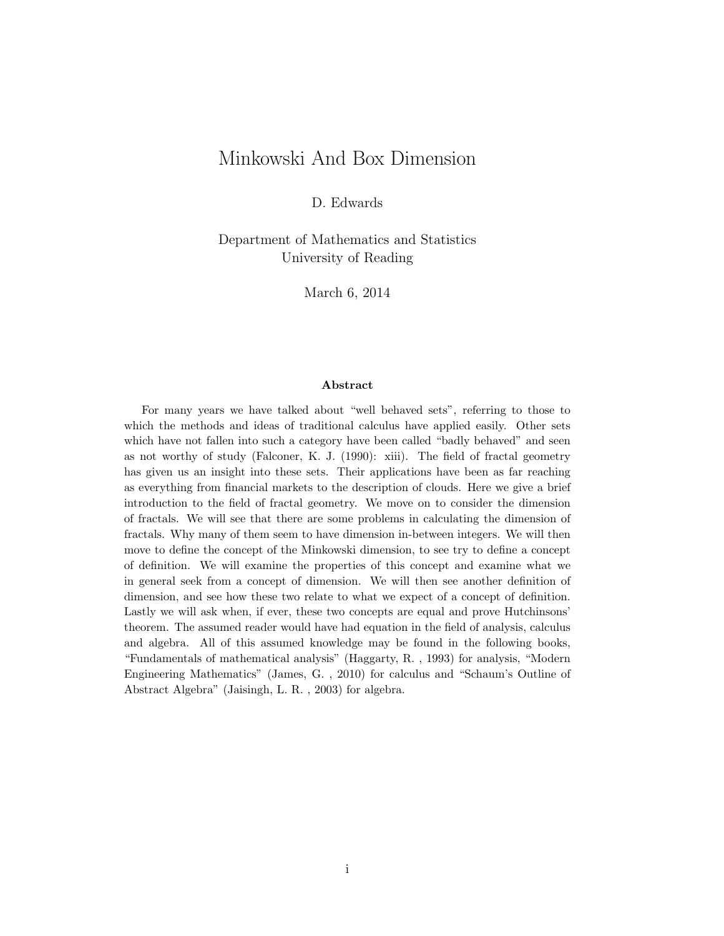### Minkowski And Box Dimension

D. Edwards

Department of Mathematics and Statistics University of Reading

March 6, 2014

#### Abstract

For many years we have talked about "well behaved sets", referring to those to which the methods and ideas of traditional calculus have applied easily. Other sets which have not fallen into such a category have been called "badly behaved" and seen as not worthy of study (Falconer, K. J. (1990): xiii). The field of fractal geometry has given us an insight into these sets. Their applications have been as far reaching as everything from financial markets to the description of clouds. Here we give a brief introduction to the field of fractal geometry. We move on to consider the dimension of fractals. We will see that there are some problems in calculating the dimension of fractals. Why many of them seem to have dimension in-between integers. We will then move to define the concept of the Minkowski dimension, to see try to define a concept of definition. We will examine the properties of this concept and examine what we in general seek from a concept of dimension. We will then see another definition of dimension, and see how these two relate to what we expect of a concept of definition. Lastly we will ask when, if ever, these two concepts are equal and prove Hutchinsons' theorem. The assumed reader would have had equation in the field of analysis, calculus and algebra. All of this assumed knowledge may be found in the following books, "Fundamentals of mathematical analysis" (Haggarty, R. , 1993) for analysis, "Modern Engineering Mathematics" (James, G. , 2010) for calculus and "Schaum's Outline of Abstract Algebra" (Jaisingh, L. R. , 2003) for algebra.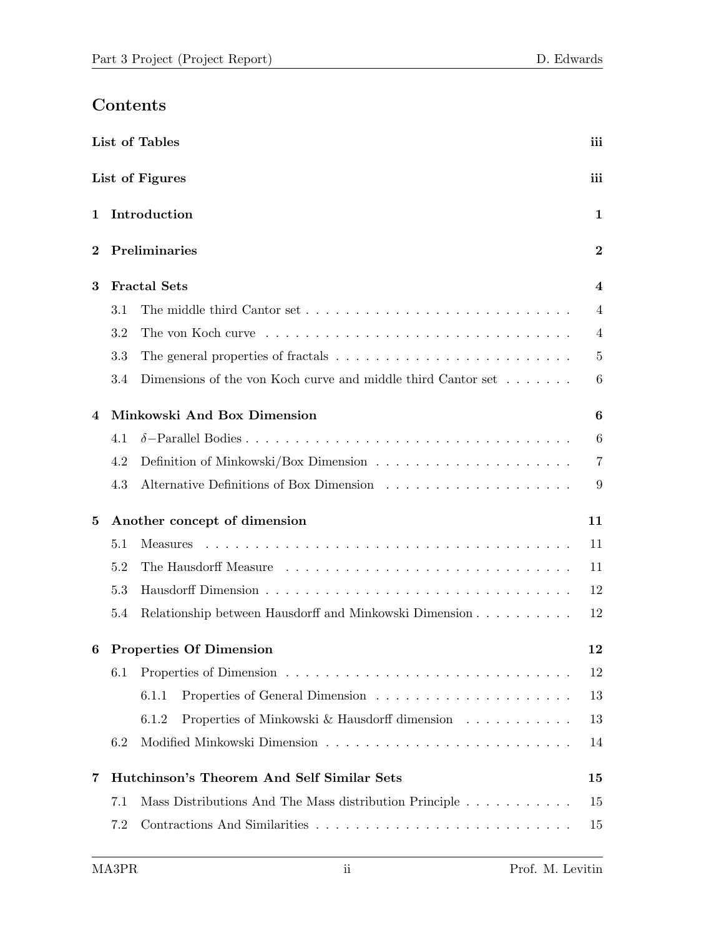# Contents

|                   | List of Tables<br>iii |                                                                                          |                |  |
|-------------------|-----------------------|------------------------------------------------------------------------------------------|----------------|--|
|                   |                       | List of Figures                                                                          | iii            |  |
| Introduction<br>1 |                       |                                                                                          | 1              |  |
| $\bf{2}$          |                       | Preliminaries                                                                            | $\bf{2}$       |  |
| 3                 |                       | <b>Fractal Sets</b>                                                                      | 4              |  |
|                   | 3.1                   |                                                                                          | 4              |  |
|                   | 3.2                   |                                                                                          | $\overline{4}$ |  |
|                   | 3.3                   |                                                                                          | $\overline{5}$ |  |
|                   | 3.4                   | Dimensions of the von Koch curve and middle third Cantor set $\dots \dots$               | 6              |  |
| 4                 |                       | Minkowski And Box Dimension                                                              | 6              |  |
|                   | 4.1                   |                                                                                          | 6              |  |
|                   | 4.2                   | Definition of Minkowski/Box Dimension $\ldots \ldots \ldots \ldots \ldots \ldots \ldots$ | 7              |  |
|                   | 4.3                   |                                                                                          | 9              |  |
| $\bf{5}$          |                       | Another concept of dimension                                                             | 11             |  |
|                   | 5.1                   | <b>Measures</b>                                                                          | 11             |  |
|                   | 5.2                   |                                                                                          | 11             |  |
|                   | 5.3                   |                                                                                          | 12             |  |
|                   | 5.4                   | Relationship between Hausdorff and Minkowski Dimension                                   | 12             |  |
| 6                 |                       | <b>Properties Of Dimension</b>                                                           | 12             |  |
|                   | 6.1                   |                                                                                          | 12             |  |
|                   |                       | 6.1.1                                                                                    | 13             |  |
|                   |                       | Properties of Minkowski & Hausdorff dimension $\ldots \ldots \ldots$<br>6.1.2            | 13             |  |
|                   | 6.2                   |                                                                                          | 14             |  |
| 7                 |                       | Hutchinson's Theorem And Self Similar Sets                                               | 15             |  |
|                   | 7.1                   | Mass Distributions And The Mass distribution Principle                                   | 15             |  |
|                   | 7.2                   |                                                                                          | 15             |  |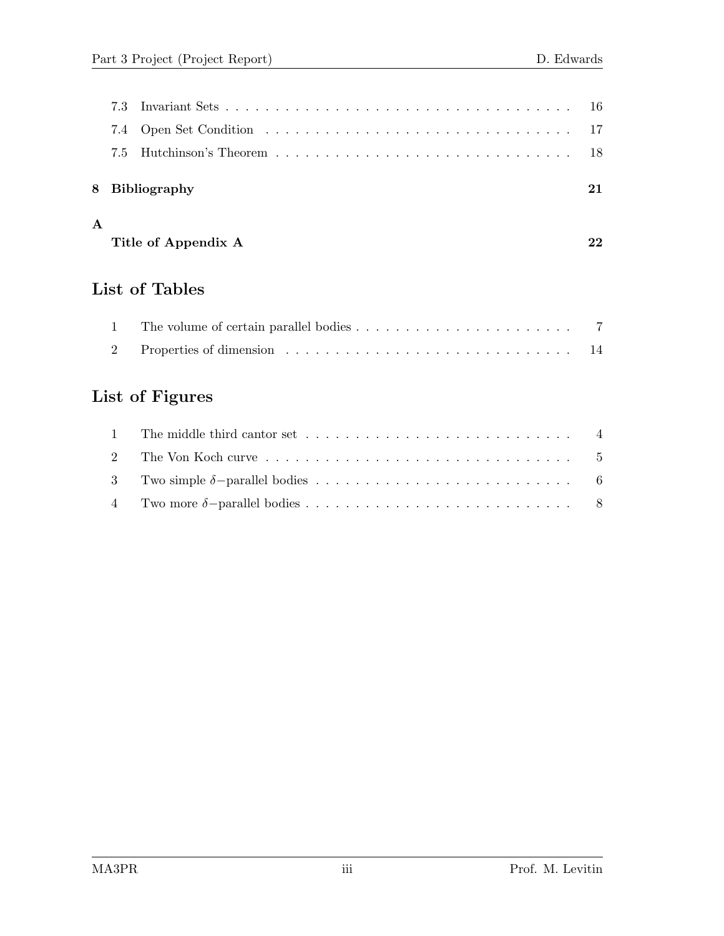|  | 8 Bibliography |  |
|--|----------------|--|
|  |                |  |
|  |                |  |
|  |                |  |
|  |                |  |

#### A

| Title of Appendix A |  |
|---------------------|--|

# List of Tables

# List of Figures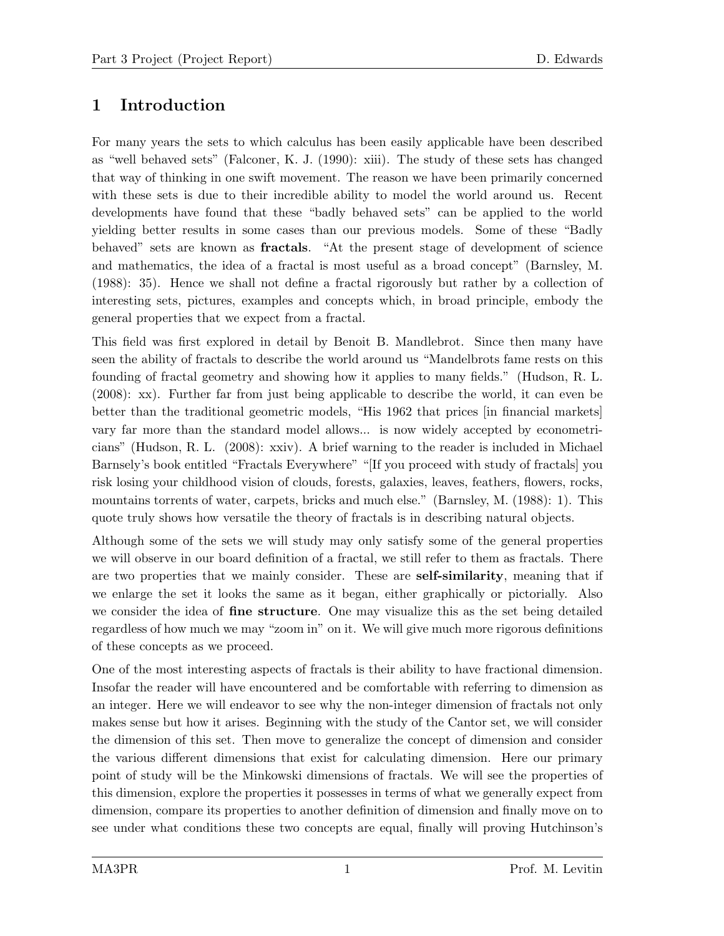# 1 Introduction

For many years the sets to which calculus has been easily applicable have been described as "well behaved sets" (Falconer, K. J. (1990): xiii). The study of these sets has changed that way of thinking in one swift movement. The reason we have been primarily concerned with these sets is due to their incredible ability to model the world around us. Recent developments have found that these "badly behaved sets" can be applied to the world yielding better results in some cases than our previous models. Some of these "Badly behaved" sets are known as fractals. "At the present stage of development of science and mathematics, the idea of a fractal is most useful as a broad concept" (Barnsley, M. (1988): 35). Hence we shall not define a fractal rigorously but rather by a collection of interesting sets, pictures, examples and concepts which, in broad principle, embody the general properties that we expect from a fractal.

This field was first explored in detail by Benoit B. Mandlebrot. Since then many have seen the ability of fractals to describe the world around us "Mandelbrots fame rests on this founding of fractal geometry and showing how it applies to many fields." (Hudson, R. L. (2008): xx). Further far from just being applicable to describe the world, it can even be better than the traditional geometric models, "His 1962 that prices [in financial markets] vary far more than the standard model allows... is now widely accepted by econometricians" (Hudson, R. L. (2008): xxiv). A brief warning to the reader is included in Michael Barnsely's book entitled "Fractals Everywhere" "[If you proceed with study of fractals] you risk losing your childhood vision of clouds, forests, galaxies, leaves, feathers, flowers, rocks, mountains torrents of water, carpets, bricks and much else." (Barnsley, M. (1988): 1). This quote truly shows how versatile the theory of fractals is in describing natural objects.

Although some of the sets we will study may only satisfy some of the general properties we will observe in our board definition of a fractal, we still refer to them as fractals. There are two properties that we mainly consider. These are **self-similarity**, meaning that if we enlarge the set it looks the same as it began, either graphically or pictorially. Also we consider the idea of **fine structure**. One may visualize this as the set being detailed regardless of how much we may "zoom in" on it. We will give much more rigorous definitions of these concepts as we proceed.

One of the most interesting aspects of fractals is their ability to have fractional dimension. Insofar the reader will have encountered and be comfortable with referring to dimension as an integer. Here we will endeavor to see why the non-integer dimension of fractals not only makes sense but how it arises. Beginning with the study of the Cantor set, we will consider the dimension of this set. Then move to generalize the concept of dimension and consider the various different dimensions that exist for calculating dimension. Here our primary point of study will be the Minkowski dimensions of fractals. We will see the properties of this dimension, explore the properties it possesses in terms of what we generally expect from dimension, compare its properties to another definition of dimension and finally move on to see under what conditions these two concepts are equal, finally will proving Hutchinson's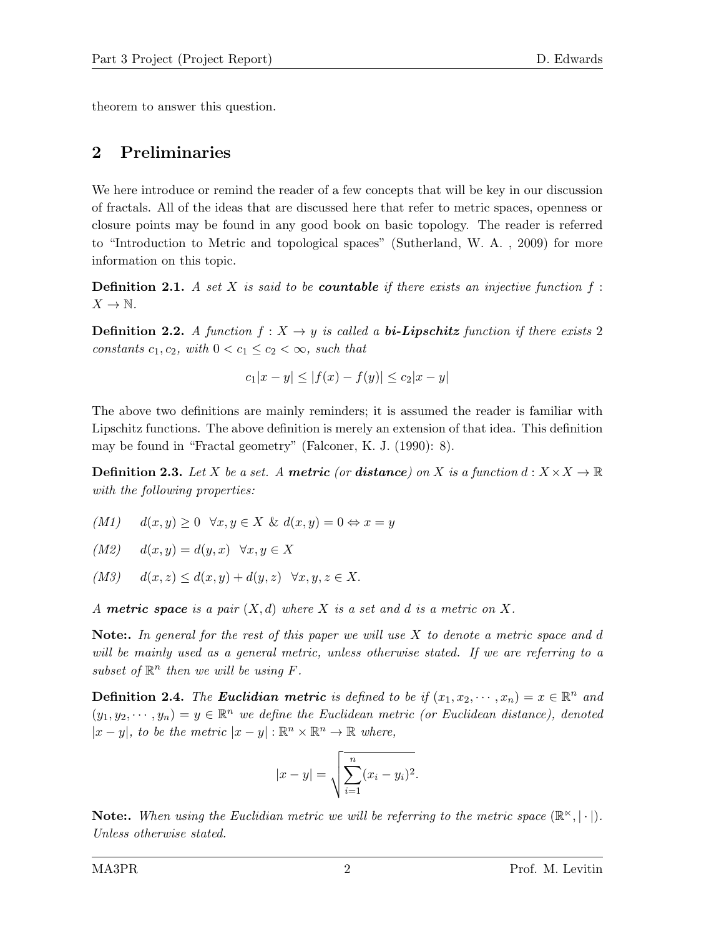theorem to answer this question.

### 2 Preliminaries

We here introduce or remind the reader of a few concepts that will be key in our discussion of fractals. All of the ideas that are discussed here that refer to metric spaces, openness or closure points may be found in any good book on basic topology. The reader is referred to "Introduction to Metric and topological spaces" (Sutherland, W. A. , 2009) for more information on this topic.

**Definition 2.1.** A set X is said to be **countable** if there exists an injective function  $f$ :  $X \to \mathbb{N}$ .

**Definition 2.2.** A function  $f: X \rightarrow y$  is called a **bi-Lipschitz** function if there exists 2 constants  $c_1, c_2$ , with  $0 < c_1 \leq c_2 < \infty$ , such that

$$
c_1|x - y| \le |f(x) - f(y)| \le c_2|x - y|
$$

The above two definitions are mainly reminders; it is assumed the reader is familiar with Lipschitz functions. The above definition is merely an extension of that idea. This definition may be found in "Fractal geometry" (Falconer, K. J. (1990): 8).

**Definition 2.3.** Let X be a set. A metric (or distance) on X is a function  $d: X \times X \to \mathbb{R}$ with the following properties:

- $(M1)$   $d(x, y) \geq 0 \quad \forall x, y \in X \& d(x, y) = 0 \Leftrightarrow x = y$
- $(M2)$   $d(x, y) = d(y, x)$   $\forall x, y \in X$
- $(M3)$   $d(x, z) \leq d(x, y) + d(y, z) \quad \forall x, y, z \in X.$

A **metric space** is a pair  $(X,d)$  where X is a set and d is a metric on X.

**Note:.** In general for the rest of this paper we will use  $X$  to denote a metric space and d will be mainly used as a general metric, unless otherwise stated. If we are referring to a subset of  $\mathbb{R}^n$  then we will be using  $F$ .

**Definition 2.4.** The **Euclidian metric** is defined to be if  $(x_1, x_2, \dots, x_n) = x \in \mathbb{R}^n$  and  $(y_1, y_2, \dots, y_n) = y \in \mathbb{R}^n$  we define the Euclidean metric (or Euclidean distance), denoted  $|x-y|$ , to be the metric  $|x-y|: \mathbb{R}^n \times \mathbb{R}^n \to \mathbb{R}$  where,

$$
|x - y| = \sqrt{\sum_{i=1}^{n} (x_i - y_i)^2}.
$$

**Note:.** When using the Euclidian metric we will be referring to the metric space  $(\mathbb{R}^{\times}, |\cdot|)$ . Unless otherwise stated.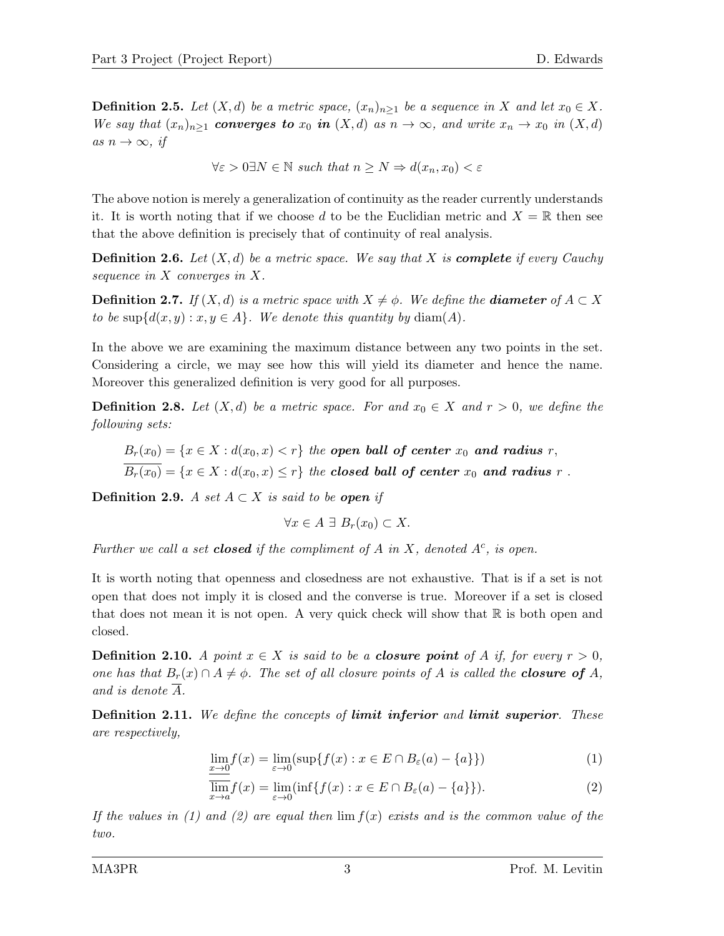**Definition 2.5.** Let  $(X, d)$  be a metric space,  $(x_n)_{n>1}$  be a sequence in X and let  $x_0 \in X$ . We say that  $(x_n)_{n\geq 1}$  converges to  $x_0$  in  $(X,d)$  as  $n\to\infty$ , and write  $x_n\to x_0$  in  $(X,d)$ as  $n \to \infty$ , if

$$
\forall \varepsilon > 0 \exists N \in \mathbb{N} \text{ such that } n \ge N \Rightarrow d(x_n, x_0) < \varepsilon
$$

The above notion is merely a generalization of continuity as the reader currently understands it. It is worth noting that if we choose d to be the Euclidian metric and  $X = \mathbb{R}$  then see that the above definition is precisely that of continuity of real analysis.

**Definition 2.6.** Let  $(X, d)$  be a metric space. We say that X is **complete** if every Cauchy sequence in X converges in X.

**Definition 2.7.** If  $(X, d)$  is a metric space with  $X \neq \phi$ . We define the **diameter** of  $A \subset X$ to be  $\sup\{d(x,y):x,y\in A\}$ . We denote this quantity by  $\text{diam}(A)$ .

In the above we are examining the maximum distance between any two points in the set. Considering a circle, we may see how this will yield its diameter and hence the name. Moreover this generalized definition is very good for all purposes.

**Definition 2.8.** Let  $(X, d)$  be a metric space. For and  $x_0 \in X$  and  $r > 0$ , we define the following sets:

 $B_r(x_0) = \{x \in X : d(x_0, x) < r\}$  the open ball of center  $x_0$  and radius r,  $\overline{B_r(x_0)} = \{x \in X : d(x_0, x) \leq r\}$  the closed ball of center  $x_0$  and radius r.

**Definition 2.9.** A set  $A \subset X$  is said to be **open** if

$$
\forall x \in A \; \exists \; B_r(x_0) \subset X.
$$

Further we call a set **closed** if the compliment of A in X, denoted  $A<sup>c</sup>$ , is open.

It is worth noting that openness and closedness are not exhaustive. That is if a set is not open that does not imply it is closed and the converse is true. Moreover if a set is closed that does not mean it is not open. A very quick check will show that  $\mathbb R$  is both open and closed.

**Definition 2.10.** A point  $x \in X$  is said to be a **closure point** of A if, for every  $r > 0$ , one has that  $B_r(x) \cap A \neq \emptyset$ . The set of all closure points of A is called the **closure of** A, and is denote  $\overline{A}$ .

**Definition 2.11.** We define the concepts of limit inferior and limit superior. These are respectively,

$$
\lim_{x \to 0} f(x) = \lim_{\varepsilon \to 0} (\sup \{ f(x) : x \in E \cap B_{\varepsilon}(a) - \{a\} \})
$$
\n(1)

$$
\overline{\lim}_{x \to a} f(x) = \lim_{\varepsilon \to 0} (\inf \{ f(x) : x \in E \cap B_{\varepsilon}(a) - \{a\} \}). \tag{2}
$$

If the values in (1) and (2) are equal then  $\lim_{x \to a} f(x)$  exists and is the common value of the two.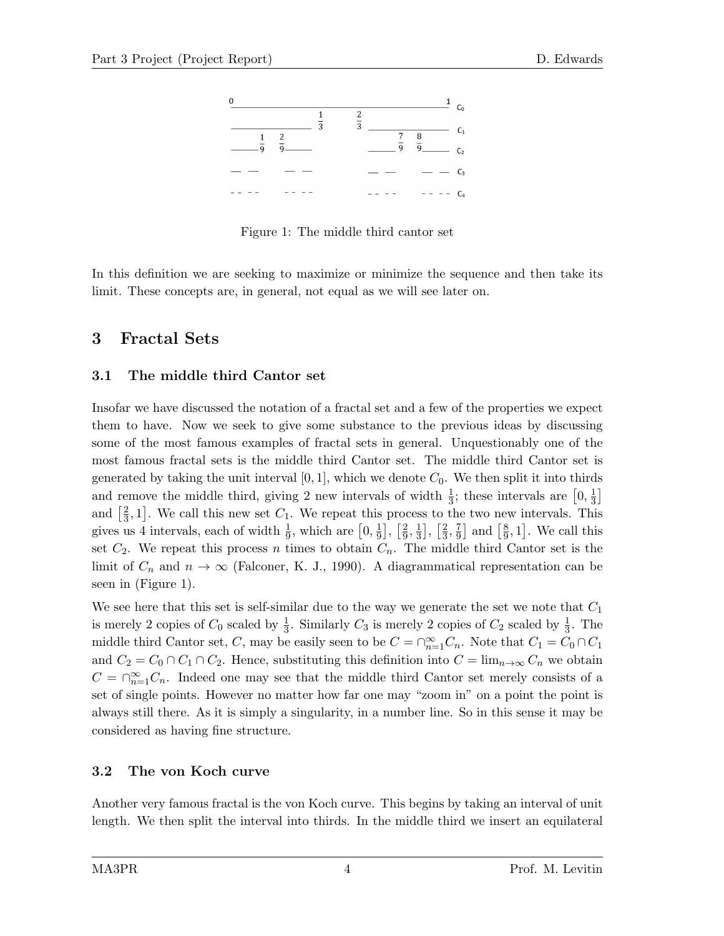

Figure 1: The middle third cantor set

In this definition we are seeking to maximize or minimize the sequence and then take its limit. These concepts are, in general, not equal as we will see later on.

### 3 Fractal Sets

#### 3.1 The middle third Cantor set

Insofar we have discussed the notation of a fractal set and a few of the properties we expect them to have. Now we seek to give some substance to the previous ideas by discussing some of the most famous examples of fractal sets in general. Unquestionably one of the most famous fractal sets is the middle third Cantor set. The middle third Cantor set is generated by taking the unit interval  $[0, 1]$ , which we denote  $C_0$ . We then split it into thirds and remove the middle third, giving 2 new intervals of width  $\frac{1}{3}$ ; these intervals are  $\left[0, \frac{1}{3}\right]$  $\frac{1}{3}$ and  $\left[\frac{2}{3}\right]$  $\frac{2}{3}$ , 1]. We call this new set  $C_1$ . We repeat this process to the two new intervals. This gives us 4 intervals, each of width  $\frac{1}{9}$ , which are  $\left[0, \frac{1}{9}\right]$  $\frac{1}{9}$ ,  $\frac{2}{9}$  $\frac{2}{9}, \frac{1}{3}$  $\frac{1}{3}$ ,  $\frac{2}{3}$  $\frac{2}{3}, \frac{7}{9}$  $\frac{7}{9}$  and  $\left[\frac{8}{9}\right]$  $\frac{8}{9}$ , 1]. We call this set  $C_2$ . We repeat this process n times to obtain  $C_n$ . The middle third Cantor set is the limit of  $C_n$  and  $n \to \infty$  (Falconer, K. J., 1990). A diagrammatical representation can be seen in (Figure 1).

We see here that this set is self-similar due to the way we generate the set we note that  $C_1$ is merely 2 copies of  $C_0$  scaled by  $\frac{1}{3}$ . Similarly  $C_3$  is merely 2 copies of  $C_2$  scaled by  $\frac{1}{3}$ . The middle third Cantor set, C, may be easily seen to be  $C = \bigcap_{n=1}^{\infty} C_n$ . Note that  $C_1 = C_0 \cap C_1$ and  $C_2 = C_0 \cap C_1 \cap C_2$ . Hence, substituting this definition into  $C = \lim_{n \to \infty} C_n$  we obtain  $C = \bigcap_{n=1}^{\infty} C_n$ . Indeed one may see that the middle third Cantor set merely consists of a set of single points. However no matter how far one may "zoom in" on a point the point is always still there. As it is simply a singularity, in a number line. So in this sense it may be considered as having fine structure.

#### 3.2 The von Koch curve

Another very famous fractal is the von Koch curve. This begins by taking an interval of unit length. We then split the interval into thirds. In the middle third we insert an equilateral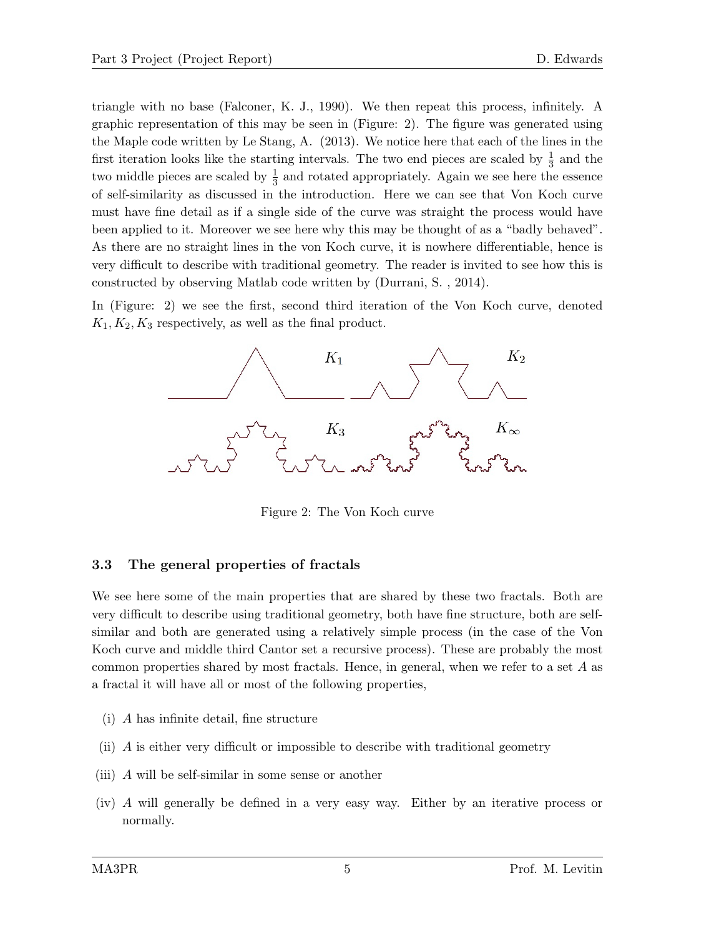triangle with no base (Falconer, K. J., 1990). We then repeat this process, infinitely. A graphic representation of this may be seen in (Figure: 2). The figure was generated using the Maple code written by Le Stang, A. (2013). We notice here that each of the lines in the first iteration looks like the starting intervals. The two end pieces are scaled by  $\frac{1}{3}$  and the two middle pieces are scaled by  $\frac{1}{3}$  and rotated appropriately. Again we see here the essence of self-similarity as discussed in the introduction. Here we can see that Von Koch curve must have fine detail as if a single side of the curve was straight the process would have been applied to it. Moreover we see here why this may be thought of as a "badly behaved". As there are no straight lines in the von Koch curve, it is nowhere differentiable, hence is very difficult to describe with traditional geometry. The reader is invited to see how this is constructed by observing Matlab code written by (Durrani, S. , 2014).

In (Figure: 2) we see the first, second third iteration of the Von Koch curve, denoted  $K_1, K_2, K_3$  respectively, as well as the final product.



Figure 2: The Von Koch curve

#### 3.3 The general properties of fractals

We see here some of the main properties that are shared by these two fractals. Both are very difficult to describe using traditional geometry, both have fine structure, both are selfsimilar and both are generated using a relatively simple process (in the case of the Von Koch curve and middle third Cantor set a recursive process). These are probably the most common properties shared by most fractals. Hence, in general, when we refer to a set A as a fractal it will have all or most of the following properties,

- (i) A has infinite detail, fine structure
- (ii) A is either very difficult or impossible to describe with traditional geometry
- (iii) A will be self-similar in some sense or another
- (iv) A will generally be defined in a very easy way. Either by an iterative process or normally.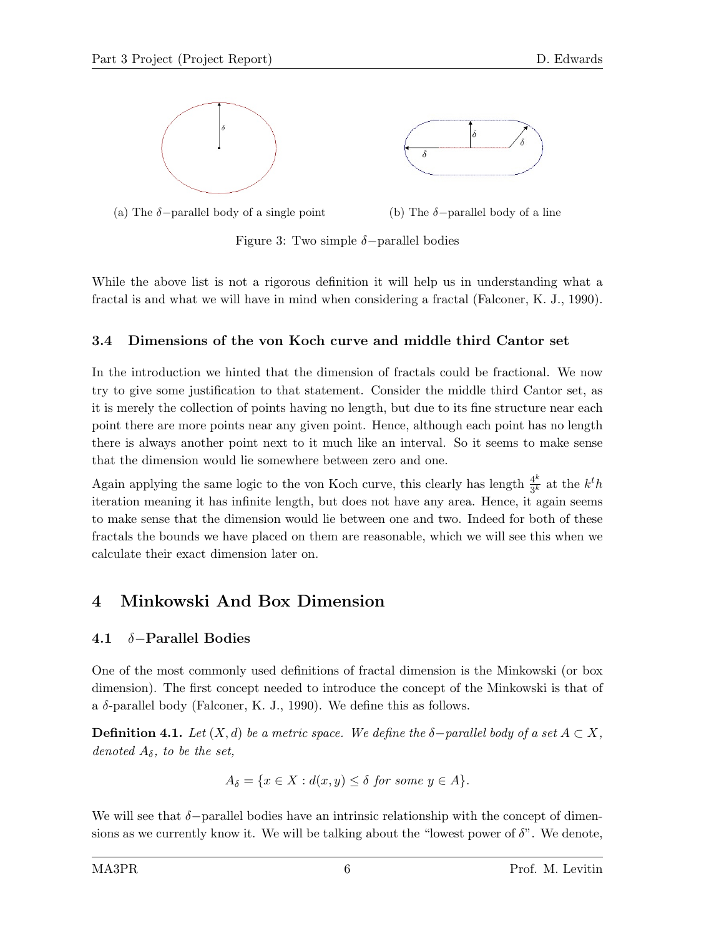

(a) The  $\delta$ -parallel body of a single point (b) The  $\delta$ -parallel body of a line

Figure 3: Two simple  $\delta$ -parallel bodies

While the above list is not a rigorous definition it will help us in understanding what a fractal is and what we will have in mind when considering a fractal (Falconer, K. J., 1990).

### 3.4 Dimensions of the von Koch curve and middle third Cantor set

In the introduction we hinted that the dimension of fractals could be fractional. We now try to give some justification to that statement. Consider the middle third Cantor set, as it is merely the collection of points having no length, but due to its fine structure near each point there are more points near any given point. Hence, although each point has no length there is always another point next to it much like an interval. So it seems to make sense that the dimension would lie somewhere between zero and one.

Again applying the same logic to the von Koch curve, this clearly has length  $\frac{4^k}{3k}$  $\frac{4^k}{3^k}$  at the  $k^t h$ iteration meaning it has infinite length, but does not have any area. Hence, it again seems to make sense that the dimension would lie between one and two. Indeed for both of these fractals the bounds we have placed on them are reasonable, which we will see this when we calculate their exact dimension later on.

## 4 Minkowski And Box Dimension

### 4.1 δ−Parallel Bodies

One of the most commonly used definitions of fractal dimension is the Minkowski (or box dimension). The first concept needed to introduce the concept of the Minkowski is that of a  $\delta$ -parallel body (Falconer, K. J., 1990). We define this as follows.

**Definition 4.1.** Let  $(X, d)$  be a metric space. We define the  $\delta$ -parallel body of a set  $A \subset X$ , denoted  $A_{\delta}$ , to be the set,

$$
A_{\delta} = \{ x \in X : d(x, y) \leq \delta \text{ for some } y \in A \}.
$$

We will see that  $\delta$ -parallel bodies have an intrinsic relationship with the concept of dimensions as we currently know it. We will be talking about the "lowest power of  $\delta$ ". We denote,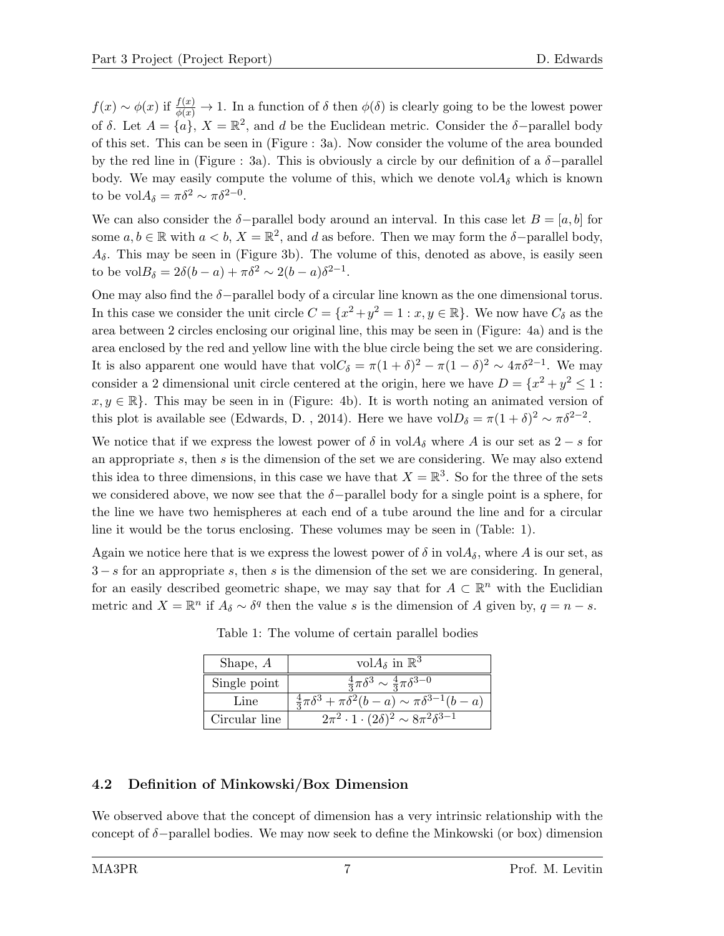$f(x) \sim \phi(x)$  if  $\frac{f(x)}{\phi(x)} \to 1$ . In a function of  $\delta$  then  $\phi(\delta)$  is clearly going to be the lowest power of  $\delta$ . Let  $A = \{a\}$ ,  $X = \mathbb{R}^2$ , and d be the Euclidean metric. Consider the  $\delta$ -parallel body of this set. This can be seen in (Figure : 3a). Now consider the volume of the area bounded by the red line in (Figure : 3a). This is obviously a circle by our definition of a  $\delta$ -parallel body. We may easily compute the volume of this, which we denote  $\mathrm{vol} A_{\delta}$  which is known to be vol $A_{\delta} = \pi \delta^2 \sim \pi \delta^{2-0}$ .

We can also consider the  $\delta$ -parallel body around an interval. In this case let  $B = [a, b]$  for some  $a, b \in \mathbb{R}$  with  $a < b, X = \mathbb{R}^2$ , and d as before. Then we may form the  $\delta$ -parallel body,  $A_{\delta}$ . This may be seen in (Figure 3b). The volume of this, denoted as above, is easily seen to be vol $B_{\delta} = 2\delta(b-a) + \pi \delta^2 \sim 2(b-a)\delta^{2-1}.$ 

One may also find the  $\delta$ -parallel body of a circular line known as the one dimensional torus. In this case we consider the unit circle  $C = \{x^2 + y^2 = 1 : x, y \in \mathbb{R}\}$ . We now have  $C_{\delta}$  as the area between 2 circles enclosing our original line, this may be seen in (Figure: 4a) and is the area enclosed by the red and yellow line with the blue circle being the set we are considering. It is also apparent one would have that  $\text{vol} C_{\delta} = \pi (1 + \delta)^2 - \pi (1 - \delta)^2 \sim 4 \pi \delta^{2-1}$ . We may consider a 2 dimensional unit circle centered at the origin, here we have  $D = \{x^2 + y^2 \le 1$ :  $x, y \in \mathbb{R}$ . This may be seen in in (Figure: 4b). It is worth noting an animated version of this plot is available see (Edwards, D., 2014). Here we have  $volD_{\delta} = \pi (1 + \delta)^2 \sim \pi \delta^{2-2}$ .

We notice that if we express the lowest power of  $\delta$  in vol $A_{\delta}$  where A is our set as 2 – s for an appropriate s, then s is the dimension of the set we are considering. We may also extend this idea to three dimensions, in this case we have that  $X = \mathbb{R}^3$ . So for the three of the sets we considered above, we now see that the  $\delta$ -parallel body for a single point is a sphere, for the line we have two hemispheres at each end of a tube around the line and for a circular line it would be the torus enclosing. These volumes may be seen in (Table: 1).

Again we notice here that is we express the lowest power of  $\delta$  in  $\mathrm{vol}A_{\delta}$ , where A is our set, as  $3 - s$  for an appropriate s, then s is the dimension of the set we are considering. In general, for an easily described geometric shape, we may say that for  $A \subset \mathbb{R}^n$  with the Euclidian metric and  $X = \mathbb{R}^n$  if  $A_\delta \sim \delta^q$  then the value s is the dimension of A given by,  $q = n - s$ .

| Shape, $A$    | vol $A_{\delta}$ in $\mathbb{R}^3$                                    |
|---------------|-----------------------------------------------------------------------|
| Single point  | $\frac{4}{3}\pi\delta^3 \sim \frac{4}{3}\pi\delta^{3-0}$              |
| Line          | $\frac{4}{3}\pi\delta^3 + \pi\delta^2(b-a) \sim \pi\delta^{3-1}(b-a)$ |
| Circular line | $2\pi^2 \cdot 1 \cdot (2\delta)^2 \sim 8\pi^2 \delta^{3-1}$           |

Table 1: The volume of certain parallel bodies

#### 4.2 Definition of Minkowski/Box Dimension

We observed above that the concept of dimension has a very intrinsic relationship with the concept of  $\delta$ −parallel bodies. We may now seek to define the Minkowski (or box) dimension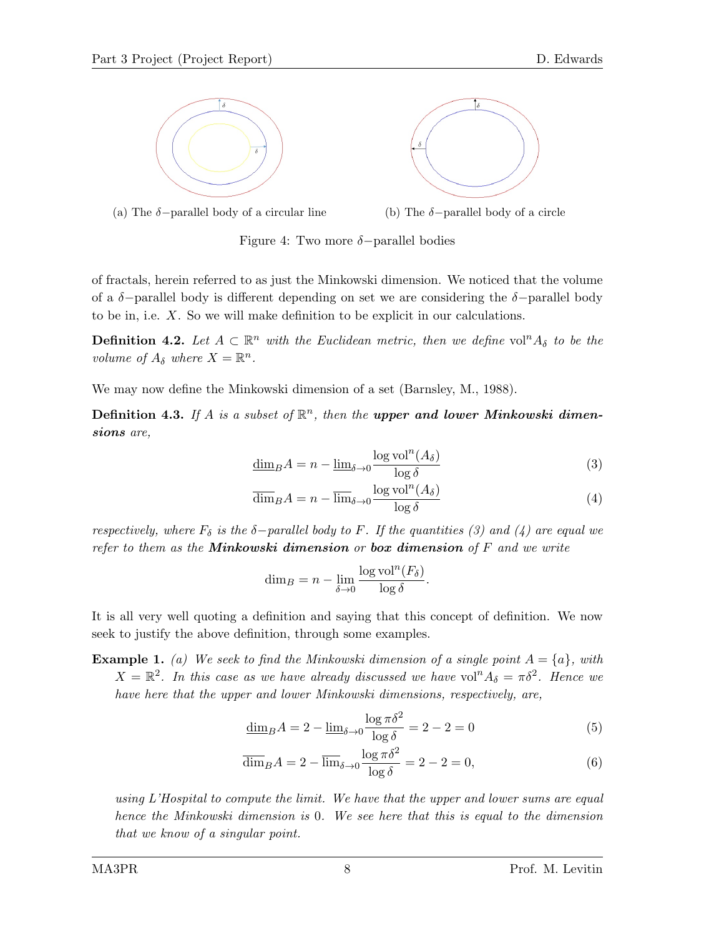





Figure 4: Two more  $\delta$ -parallel bodies

of fractals, herein referred to as just the Minkowski dimension. We noticed that the volume of a  $\delta$ -parallel body is different depending on set we are considering the  $\delta$ -parallel body to be in, i.e. X. So we will make definition to be explicit in our calculations.

**Definition 4.2.** Let  $A \subset \mathbb{R}^n$  with the Euclidean metric, then we define vol<sup>n</sup> $A_\delta$  to be the volume of  $A_{\delta}$  where  $X = \mathbb{R}^{n}$ .

We may now define the Minkowski dimension of a set (Barnsley, M., 1988).

Definition 4.3. If A is a subset of  $\mathbb{R}^n$ , then the upper and lower Minkowski dimensions are,

$$
\underline{\dim}_{B} A = n - \underline{\lim}_{\delta \to 0} \frac{\log \text{vol}^n(A_{\delta})}{\log \delta} \tag{3}
$$

$$
\overline{\dim}_{B} A = n - \overline{\lim}_{\delta \to 0} \frac{\log \text{vol}^{n}(A_{\delta})}{\log \delta}
$$
\n(4)

respectively, where  $F_{\delta}$  is the  $\delta$ -parallel body to F. If the quantities (3) and (4) are equal we refer to them as the **Minkowski dimension** or **box dimension** of  $F$  and we write

$$
\dim_B = n - \lim_{\delta \to 0} \frac{\log \text{vol}^n(F_\delta)}{\log \delta}.
$$

It is all very well quoting a definition and saying that this concept of definition. We now seek to justify the above definition, through some examples.

**Example 1.** (a) We seek to find the Minkowski dimension of a single point  $A = \{a\}$ , with  $X = \mathbb{R}^2$ . In this case as we have already discussed we have vol<sup>n</sup> $A_{\delta} = \pi \delta^2$ . Hence we have here that the upper and lower Minkowski dimensions, respectively, are,

$$
\underline{\dim}_{B} A = 2 - \underline{\lim}_{\delta \to 0} \frac{\log \pi \delta^2}{\log \delta} = 2 - 2 = 0
$$
\n(5)

$$
\overline{\dim}_{B} A = 2 - \overline{\lim}_{\delta \to 0} \frac{\log \pi \delta^2}{\log \delta} = 2 - 2 = 0,
$$
\n(6)

using L'Hospital to compute the limit. We have that the upper and lower sums are equal hence the Minkowski dimension is 0. We see here that this is equal to the dimension that we know of a singular point.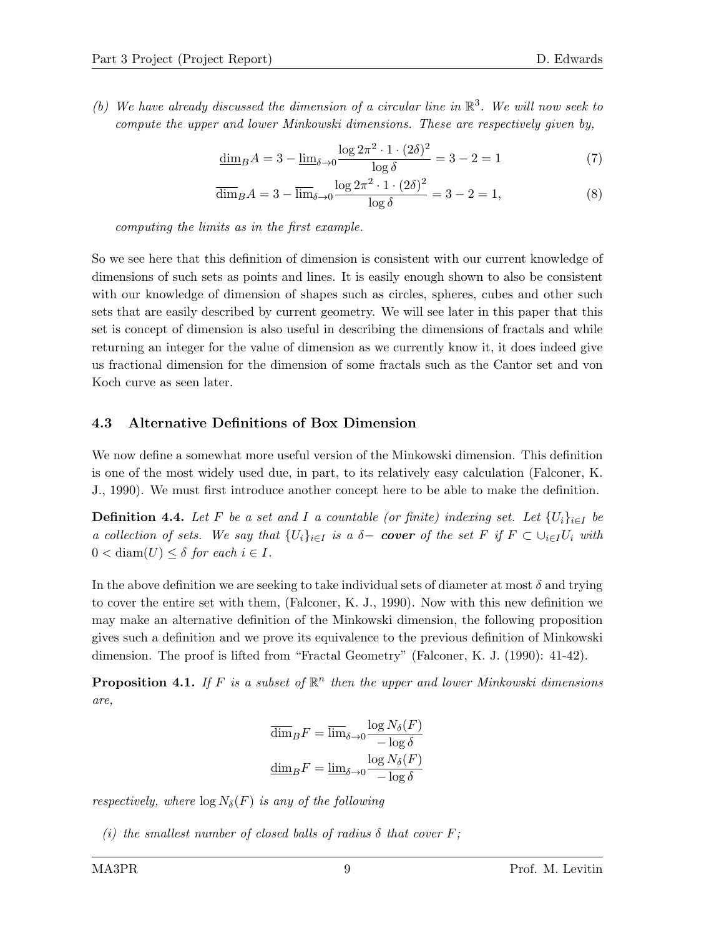(b) We have already discussed the dimension of a circular line in  $\mathbb{R}^3$ . We will now seek to compute the upper and lower Minkowski dimensions. These are respectively given by,

$$
\underline{\dim}_{B} A = 3 - \underline{\lim}_{\delta \to 0} \frac{\log 2\pi^2 \cdot 1 \cdot (2\delta)^2}{\log \delta} = 3 - 2 = 1
$$
 (7)

$$
\overline{\dim}_B A = 3 - \overline{\lim}_{\delta \to 0} \frac{\log 2\pi^2 \cdot 1 \cdot (2\delta)^2}{\log \delta} = 3 - 2 = 1,\tag{8}
$$

computing the limits as in the first example.

So we see here that this definition of dimension is consistent with our current knowledge of dimensions of such sets as points and lines. It is easily enough shown to also be consistent with our knowledge of dimension of shapes such as circles, spheres, cubes and other such sets that are easily described by current geometry. We will see later in this paper that this set is concept of dimension is also useful in describing the dimensions of fractals and while returning an integer for the value of dimension as we currently know it, it does indeed give us fractional dimension for the dimension of some fractals such as the Cantor set and von Koch curve as seen later.

#### 4.3 Alternative Definitions of Box Dimension

We now define a somewhat more useful version of the Minkowski dimension. This definition is one of the most widely used due, in part, to its relatively easy calculation (Falconer, K. J., 1990). We must first introduce another concept here to be able to make the definition.

**Definition 4.4.** Let F be a set and I a countable (or finite) indexing set. Let  $\{U_i\}_{i\in I}$  be a collection of sets. We say that  $\{U_i\}_{i\in I}$  is a  $\delta$ - cover of the set F if  $F \subset \bigcup_{i\in I} U_i$  with  $0 < \text{diam}(U) \leq \delta$  for each  $i \in I$ .

In the above definition we are seeking to take individual sets of diameter at most  $\delta$  and trying to cover the entire set with them, (Falconer, K. J., 1990). Now with this new definition we may make an alternative definition of the Minkowski dimension, the following proposition gives such a definition and we prove its equivalence to the previous definition of Minkowski dimension. The proof is lifted from "Fractal Geometry" (Falconer, K. J. (1990): 41-42).

**Proposition 4.1.** If F is a subset of  $\mathbb{R}^n$  then the upper and lower Minkowski dimensions are,

$$
\overline{\dim}_B F = \overline{\lim}_{\delta \to 0} \frac{\log N_{\delta}(F)}{-\log \delta}
$$

$$
\underline{\dim}_B F = \underline{\lim}_{\delta \to 0} \frac{\log N_{\delta}(F)}{-\log \delta}
$$

respectively, where  $\log N_{\delta}(F)$  is any of the following

(i) the smallest number of closed balls of radius  $\delta$  that cover F;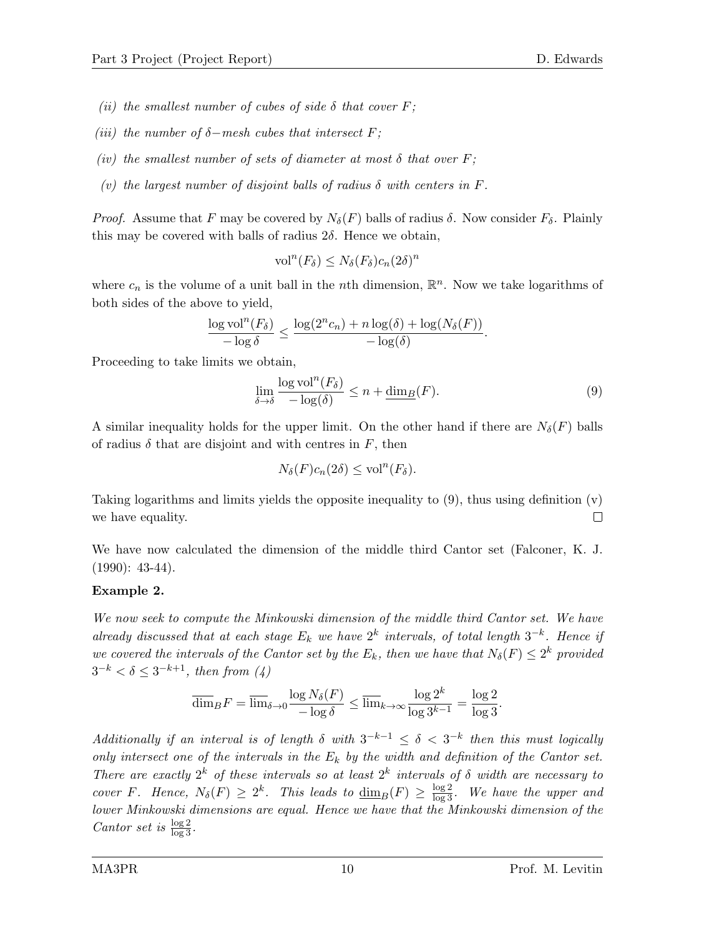- (ii) the smallest number of cubes of side  $\delta$  that cover F;
- (iii) the number of  $\delta$ -mesh cubes that intersect F;
- (iv) the smallest number of sets of diameter at most  $\delta$  that over  $F$ ;
- (v) the largest number of disjoint balls of radius  $\delta$  with centers in F.

*Proof.* Assume that F may be covered by  $N_{\delta}(F)$  balls of radius  $\delta$ . Now consider  $F_{\delta}$ . Plainly this may be covered with balls of radius  $2\delta$ . Hence we obtain,

$$
\text{vol}^n(F_\delta) \le N_\delta(F_\delta) c_n (2\delta)^n
$$

where  $c_n$  is the volume of a unit ball in the *n*th dimension,  $\mathbb{R}^n$ . Now we take logarithms of both sides of the above to yield,

$$
\frac{\log \mathrm{vol}^n(F_\delta)}{-\log \delta} \le \frac{\log(2^n c_n) + n \log(\delta) + \log(N_\delta(F))}{-\log(\delta)}.
$$

Proceeding to take limits we obtain,

$$
\lim_{\delta \to \delta} \frac{\log \text{vol}^n(F_\delta)}{-\log(\delta)} \le n + \underline{\dim}_B(F). \tag{9}
$$

A similar inequality holds for the upper limit. On the other hand if there are  $N_{\delta}(F)$  balls of radius  $\delta$  that are disjoint and with centres in F, then

$$
N_{\delta}(F)c_n(2\delta) \le \text{vol}^n(F_{\delta}).
$$

Taking logarithms and limits yields the opposite inequality to  $(9)$ , thus using definition  $(v)$  $\Box$ we have equality.

We have now calculated the dimension of the middle third Cantor set (Falconer, K. J.  $(1990): 43-44$ .

#### Example 2.

We now seek to compute the Minkowski dimension of the middle third Cantor set. We have already discussed that at each stage  $E_k$  we have  $2^k$  intervals, of total length  $3^{-k}$ . Hence if we covered the intervals of the Cantor set by the  $E_k$ , then we have that  $N_{\delta}(F) \leq 2^k$  provided  $3^{-k} < \delta \leq 3^{-k+1}$ , then from  $(4)$ 

$$
\overline{\dim}_B F = \overline{\lim}_{\delta \to 0} \frac{\log N_{\delta}(F)}{-\log \delta} \le \overline{\lim}_{k \to \infty} \frac{\log 2^k}{\log 3^{k-1}} = \frac{\log 2}{\log 3}.
$$

Additionally if an interval is of length  $\delta$  with  $3^{-k-1} \leq \delta < 3^{-k}$  then this must logically only intersect one of the intervals in the  $E_k$  by the width and definition of the Cantor set. There are exactly  $2^k$  of these intervals so at least  $2^k$  intervals of  $\delta$  width are necessary to cover F. Hence,  $N_{\delta}(F) \geq 2^{k}$ . This leads to  $\underline{\dim}_{B}(F) \geq \frac{\log 2}{\log 3}$ . We have the upper and lower Minkowski dimensions are equal. Hence we have that the Minkowski dimension of the Cantor set is  $\frac{\log 2}{\log 3}$ .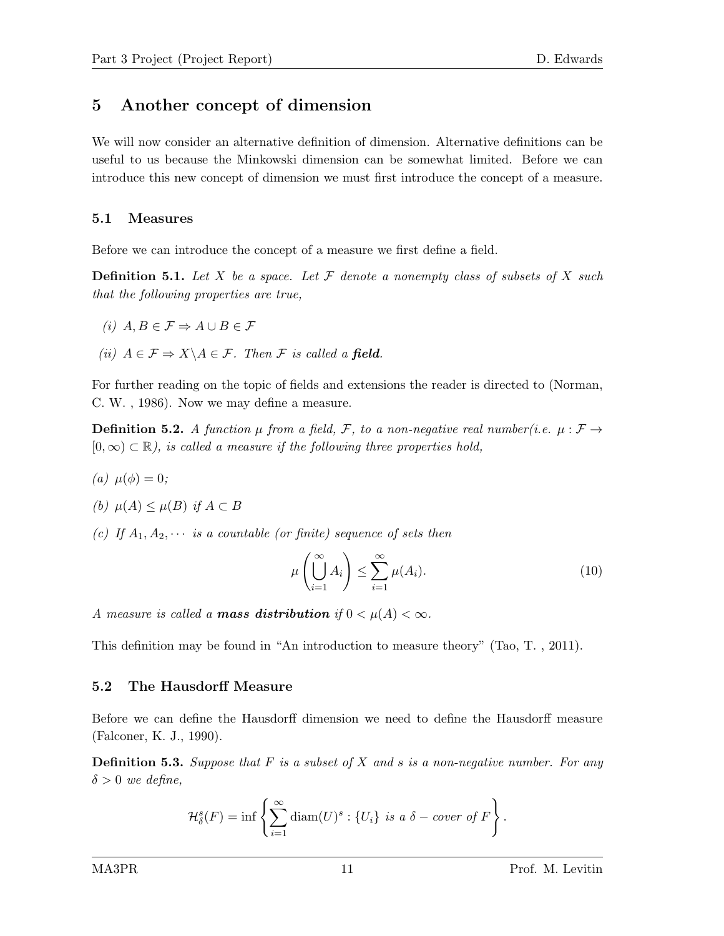### 5 Another concept of dimension

We will now consider an alternative definition of dimension. Alternative definitions can be useful to us because the Minkowski dimension can be somewhat limited. Before we can introduce this new concept of dimension we must first introduce the concept of a measure.

#### 5.1 Measures

Before we can introduce the concept of a measure we first define a field.

**Definition 5.1.** Let X be a space. Let F denote a nonempty class of subsets of X such that the following properties are true,

- (i)  $A, B \in \mathcal{F} \Rightarrow A \cup B \in \mathcal{F}$
- (ii)  $A \in \mathcal{F} \Rightarrow X \backslash A \in \mathcal{F}$ . Then  $\mathcal{F}$  is called a field.

For further reading on the topic of fields and extensions the reader is directed to (Norman, C. W. , 1986). Now we may define a measure.

**Definition 5.2.** A function  $\mu$  from a field, F, to a non-negative real number(i.e.  $\mu : \mathcal{F} \to$  $[0, \infty) \subset \mathbb{R}$ , is called a measure if the following three properties hold,

(a)  $\mu(\phi) = 0;$ 

(b) 
$$
\mu(A) \leq \mu(B)
$$
 if  $A \subset B$ 

(c) If  $A_1, A_2, \cdots$  is a countable (or finite) sequence of sets then

$$
\mu\left(\bigcup_{i=1}^{\infty} A_i\right) \le \sum_{i=1}^{\infty} \mu(A_i). \tag{10}
$$

A measure is called a **mass distribution** if  $0 < \mu(A) < \infty$ .

This definition may be found in "An introduction to measure theory" (Tao, T. , 2011).

#### 5.2 The Hausdorff Measure

Before we can define the Hausdorff dimension we need to define the Hausdorff measure (Falconer, K. J., 1990).

**Definition 5.3.** Suppose that  $F$  is a subset of  $X$  and  $s$  is a non-negative number. For any  $\delta > 0$  we define,

$$
\mathcal{H}^s_\delta(F) = \inf \left\{ \sum_{i=1}^\infty \text{diam}(U)^s : \{U_i\} \text{ is a } \delta-\text{cover of } F \right\}.
$$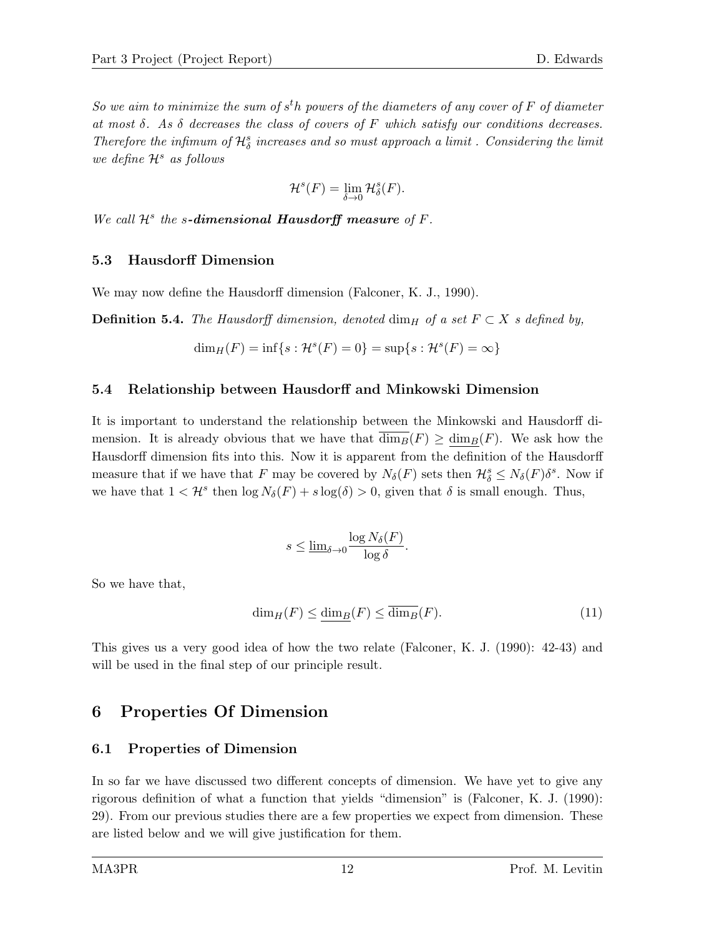So we aim to minimize the sum of  $s<sup>t</sup>$ h powers of the diameters of any cover of F of diameter at most  $\delta$ . As  $\delta$  decreases the class of covers of F which satisfy our conditions decreases. Therefore the infimum of  $\mathcal{H}^s_\delta$  increases and so must approach a limit . Considering the limit we define  $\mathcal{H}^s$  as follows

$$
\mathcal{H}^s(F) = \lim_{\delta \to 0} \mathcal{H}^s_{\delta}(F).
$$

We call  $\mathcal{H}^s$  the s-dimensional Hausdorff measure of F.

#### 5.3 Hausdorff Dimension

We may now define the Hausdorff dimension (Falconer, K. J., 1990).

**Definition 5.4.** The Hausdorff dimension, denoted dim<sub>H</sub> of a set  $F \subset X$  s defined by,

$$
\dim_H(F) = \inf\{s : \mathcal{H}^s(F) = 0\} = \sup\{s : \mathcal{H}^s(F) = \infty\}
$$

#### 5.4 Relationship between Hausdorff and Minkowski Dimension

It is important to understand the relationship between the Minkowski and Hausdorff dimension. It is already obvious that we have that  $\dim_B(F) \geq \dim_B(F)$ . We ask how the Hausdorff dimension fits into this. Now it is apparent from the definition of the Hausdorff measure that if we have that F may be covered by  $N_{\delta}(F)$  sets then  $\mathcal{H}^s_{\delta} \leq N_{\delta}(F) \delta^s$ . Now if we have that  $1 < H^s$  then  $\log N_\delta(F) + s \log(\delta) > 0$ , given that  $\delta$  is small enough. Thus,

$$
s \le \underline{\lim}_{\delta \to 0} \frac{\log N_{\delta}(F)}{\log \delta}.
$$

So we have that,

$$
\dim_H(F) \le \dim_B(F) \le \overline{\dim_B}(F). \tag{11}
$$

This gives us a very good idea of how the two relate (Falconer, K. J. (1990): 42-43) and will be used in the final step of our principle result.

### 6 Properties Of Dimension

#### 6.1 Properties of Dimension

In so far we have discussed two different concepts of dimension. We have yet to give any rigorous definition of what a function that yields "dimension" is (Falconer, K. J. (1990): 29). From our previous studies there are a few properties we expect from dimension. These are listed below and we will give justification for them.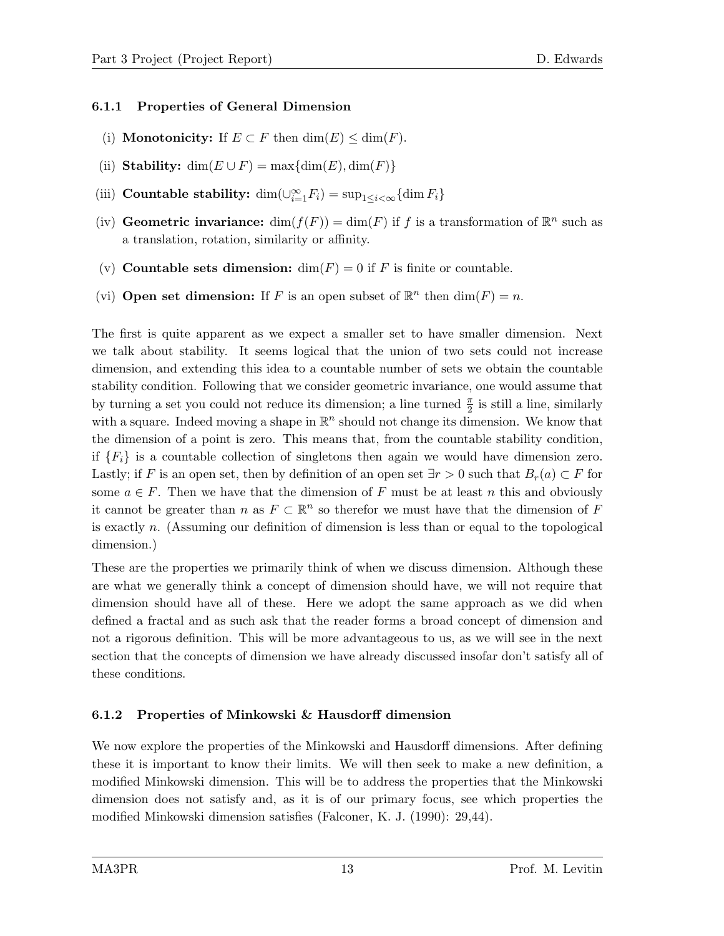#### 6.1.1 Properties of General Dimension

- (i) **Monotonicity:** If  $E \subset F$  then  $\dim(E) \leq \dim(F)$ .
- (ii) Stability:  $\dim(E \cup F) = \max{\dim(E), \dim(F)}$
- (iii) Countable stability:  $\dim(\bigcup_{i=1}^{\infty} F_i) = \sup_{1 \leq i < \infty} {\dim F_i}$
- (iv) Geometric invariance:  $\dim(f(F)) = \dim(F)$  if f is a transformation of  $\mathbb{R}^n$  such as a translation, rotation, similarity or affinity.
- (v) Countable sets dimension:  $\dim(F) = 0$  if F is finite or countable.
- (vi) Open set dimension: If F is an open subset of  $\mathbb{R}^n$  then  $\dim(F) = n$ .

The first is quite apparent as we expect a smaller set to have smaller dimension. Next we talk about stability. It seems logical that the union of two sets could not increase dimension, and extending this idea to a countable number of sets we obtain the countable stability condition. Following that we consider geometric invariance, one would assume that by turning a set you could not reduce its dimension; a line turned  $\frac{\pi}{2}$  is still a line, similarly with a square. Indeed moving a shape in  $\mathbb{R}^n$  should not change its dimension. We know that the dimension of a point is zero. This means that, from the countable stability condition, if  ${F_i}$  is a countable collection of singletons then again we would have dimension zero. Lastly; if F is an open set, then by definition of an open set  $\exists r > 0$  such that  $B_r(a) \subset F$  for some  $a \in F$ . Then we have that the dimension of F must be at least n this and obviously it cannot be greater than n as  $F \subset \mathbb{R}^n$  so therefor we must have that the dimension of F is exactly n. (Assuming our definition of dimension is less than or equal to the topological dimension.)

These are the properties we primarily think of when we discuss dimension. Although these are what we generally think a concept of dimension should have, we will not require that dimension should have all of these. Here we adopt the same approach as we did when defined a fractal and as such ask that the reader forms a broad concept of dimension and not a rigorous definition. This will be more advantageous to us, as we will see in the next section that the concepts of dimension we have already discussed insofar don't satisfy all of these conditions.

### 6.1.2 Properties of Minkowski & Hausdorff dimension

We now explore the properties of the Minkowski and Hausdorff dimensions. After defining these it is important to know their limits. We will then seek to make a new definition, a modified Minkowski dimension. This will be to address the properties that the Minkowski dimension does not satisfy and, as it is of our primary focus, see which properties the modified Minkowski dimension satisfies (Falconer, K. J. (1990): 29,44).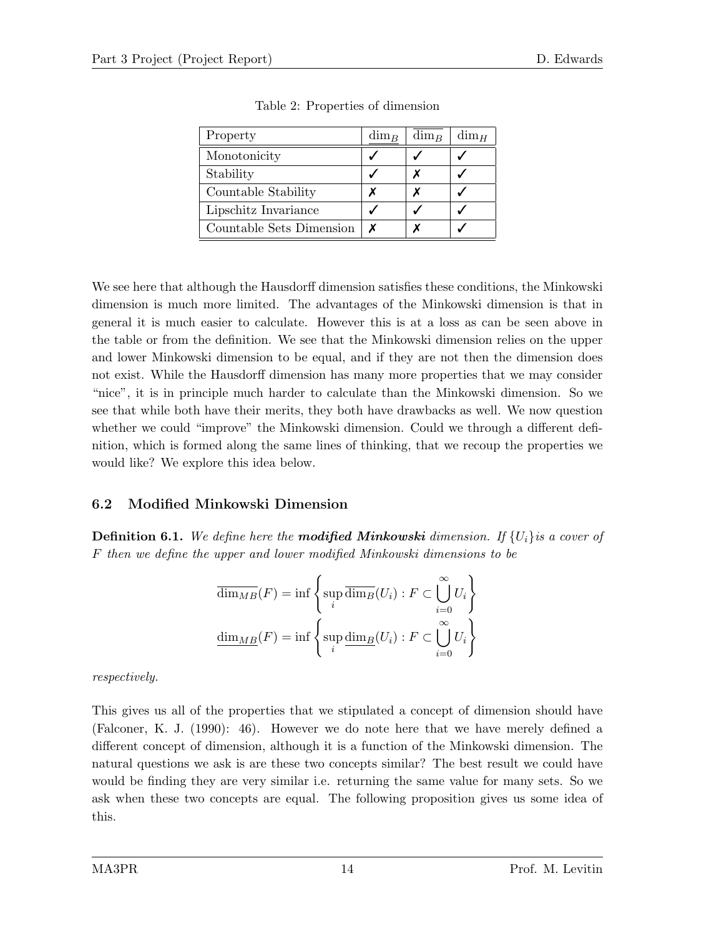| Property                 | $\dim_B$ | $\dim_B$ | $\dim_H$ |
|--------------------------|----------|----------|----------|
| Monotonicity             |          |          |          |
| Stability                |          |          |          |
| Countable Stability      |          |          |          |
| Lipschitz Invariance     |          |          |          |
| Countable Sets Dimension |          |          |          |

Table 2: Properties of dimension

We see here that although the Hausdorff dimension satisfies these conditions, the Minkowski dimension is much more limited. The advantages of the Minkowski dimension is that in general it is much easier to calculate. However this is at a loss as can be seen above in the table or from the definition. We see that the Minkowski dimension relies on the upper and lower Minkowski dimension to be equal, and if they are not then the dimension does not exist. While the Hausdorff dimension has many more properties that we may consider "nice", it is in principle much harder to calculate than the Minkowski dimension. So we see that while both have their merits, they both have drawbacks as well. We now question whether we could "improve" the Minkowski dimension. Could we through a different definition, which is formed along the same lines of thinking, that we recoup the properties we would like? We explore this idea below.

### 6.2 Modified Minkowski Dimension

**Definition 6.1.** We define here the **modified Minkowski** dimension. If  $\{U_i\}$  is a cover of F then we define the upper and lower modified Minkowski dimensions to be

$$
\overline{\dim_{MB}}(F) = \inf \left\{ \sup_i \overline{\dim_B}(U_i) : F \subset \bigcup_{i=0}^{\infty} U_i \right\}
$$

$$
\underline{\dim_{MB}}(F) = \inf \left\{ \sup_i \underline{\dim_B}(U_i) : F \subset \bigcup_{i=0}^{\infty} U_i \right\}
$$

respectively.

This gives us all of the properties that we stipulated a concept of dimension should have (Falconer, K. J. (1990): 46). However we do note here that we have merely defined a different concept of dimension, although it is a function of the Minkowski dimension. The natural questions we ask is are these two concepts similar? The best result we could have would be finding they are very similar i.e. returning the same value for many sets. So we ask when these two concepts are equal. The following proposition gives us some idea of this.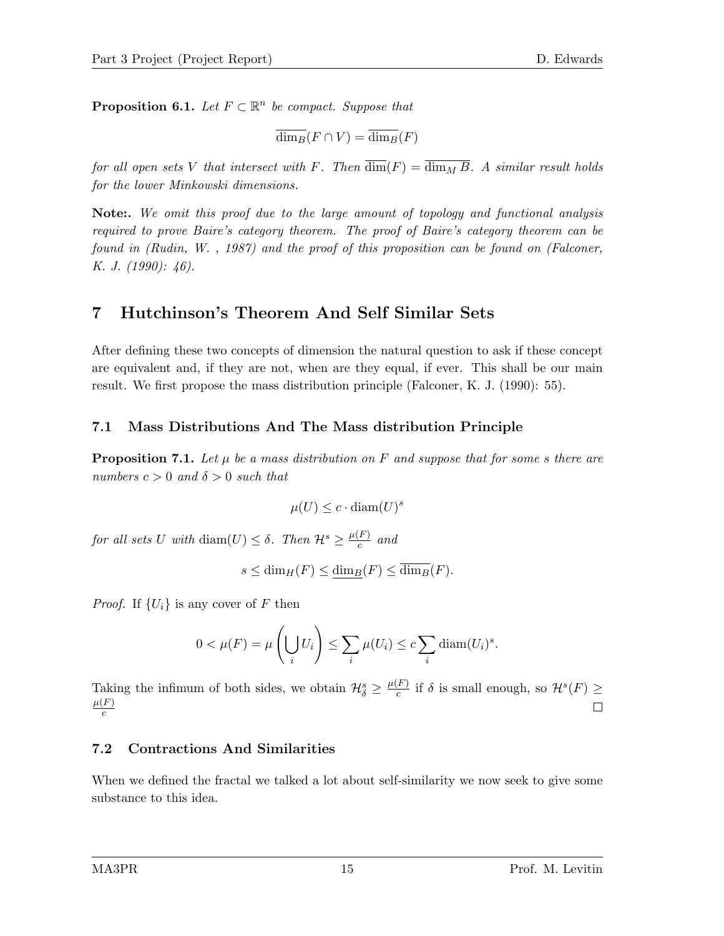**Proposition 6.1.** Let  $F \subset \mathbb{R}^n$  be compact. Suppose that

$$
\overline{\dim_B}(F \cap V) = \overline{\dim_B}(F)
$$

for all open sets V that intersect with F. Then  $\overline{\dim}(F) = \overline{\dim}_{M} \overline{B}$ . A similar result holds for the lower Minkowski dimensions.

Note:. We omit this proof due to the large amount of topology and functional analysis required to prove Baire's category theorem. The proof of Baire's category theorem can be found in (Rudin, W. , 1987) and the proof of this proposition can be found on (Falconer, K. J.  $(1990): 46$ .

## 7 Hutchinson's Theorem And Self Similar Sets

After defining these two concepts of dimension the natural question to ask if these concept are equivalent and, if they are not, when are they equal, if ever. This shall be our main result. We first propose the mass distribution principle (Falconer, K. J. (1990): 55).

#### 7.1 Mass Distributions And The Mass distribution Principle

**Proposition 7.1.** Let  $\mu$  be a mass distribution on F and suppose that for some s there are numbers  $c > 0$  and  $\delta > 0$  such that

$$
\mu(U) \le c \cdot \text{diam}(U)^s
$$

for all sets U with  $\text{diam}(U) \leq \delta$ . Then  $\mathcal{H}^s \geq \frac{\mu(F)}{c}$  $rac{F}{c}$  and

$$
s\leq \dim_H(F)\leq \underline{\dim_B}(F)\leq \overline{\dim_B}(F).
$$

*Proof.* If  $\{U_i\}$  is any cover of F then

$$
0 < \mu(F) = \mu\left(\bigcup_{i} U_i\right) \le \sum_{i} \mu(U_i) \le c \sum_{i} \text{diam}(U_i)^s.
$$

Taking the infimum of both sides, we obtain  $\mathcal{H}_{\delta}^{s} \geq \frac{\mu(F)}{c}$  $\frac{F}{c}$  if  $\delta$  is small enough, so  $\mathcal{H}^s(F) \geq$  $\mu(F)$  $\Box$ c

### 7.2 Contractions And Similarities

When we defined the fractal we talked a lot about self-similarity we now seek to give some substance to this idea.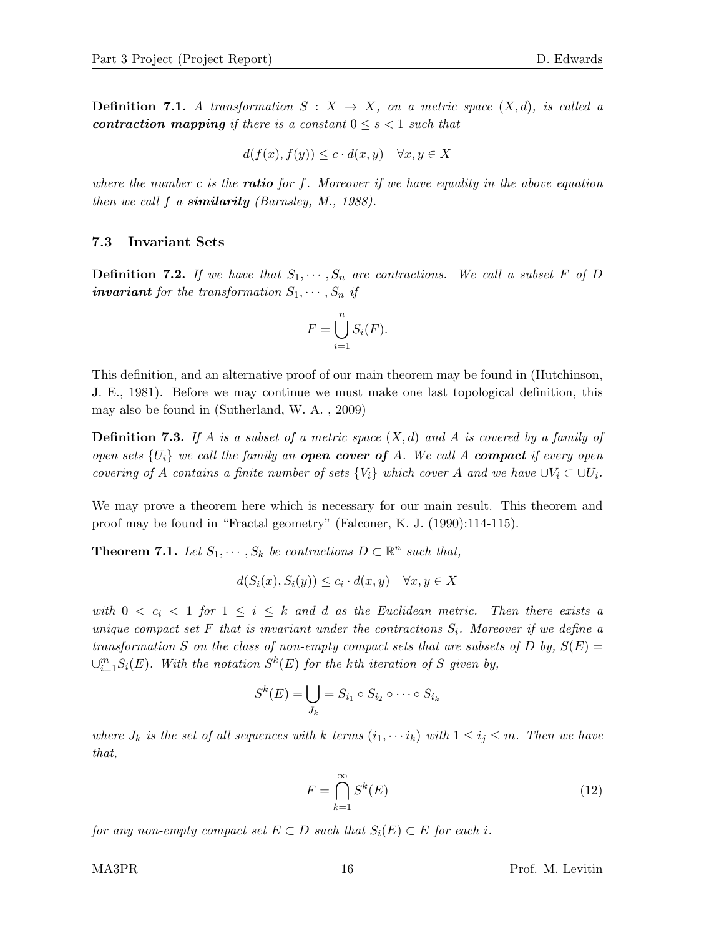**Definition 7.1.** A transformation  $S: X \to X$ , on a metric space  $(X,d)$ , is called a contraction mapping if there is a constant  $0 \leq s \leq 1$  such that

$$
d(f(x), f(y)) \le c \cdot d(x, y) \quad \forall x, y \in X
$$

where the number c is the **ratio** for f. Moreover if we have equality in the above equation then we call  $f$  a **similarity** (Barnsley, M., 1988).

#### 7.3 Invariant Sets

**Definition 7.2.** If we have that  $S_1, \dots, S_n$  are contractions. We call a subset F of D **invariant** for the transformation  $S_1, \dots, S_n$  if

$$
F = \bigcup_{i=1}^{n} S_i(F).
$$

This definition, and an alternative proof of our main theorem may be found in (Hutchinson, J. E., 1981). Before we may continue we must make one last topological definition, this may also be found in (Sutherland, W. A. , 2009)

**Definition 7.3.** If A is a subset of a metric space  $(X, d)$  and A is covered by a family of open sets  $\{U_i\}$  we call the family an **open cover of** A. We call A **compact** if every open covering of A contains a finite number of sets  $\{V_i\}$  which cover A and we have  $\cup V_i \subset \cup U_i$ .

We may prove a theorem here which is necessary for our main result. This theorem and proof may be found in "Fractal geometry" (Falconer, K. J. (1990):114-115).

**Theorem 7.1.** Let  $S_1, \dots, S_k$  be contractions  $D \subset \mathbb{R}^n$  such that,

$$
d(S_i(x), S_i(y)) \le c_i \cdot d(x, y) \quad \forall x, y \in X
$$

with  $0 < c_i < 1$  for  $1 \leq i \leq k$  and d as the Euclidean metric. Then there exists a unique compact set F that is invariant under the contractions  $S_i$ . Moreover if we define a transformation S on the class of non-empty compact sets that are subsets of D by,  $S(E)$  =  $\cup_{i=1}^m S_i(E)$ . With the notation  $S^k(E)$  for the kth iteration of S given by,

$$
S^k(E) = \bigcup_{J_k} = S_{i_1} \circ S_{i_2} \circ \cdots \circ S_{i_k}
$$

where  $J_k$  is the set of all sequences with k terms  $(i_1, \dots, i_k)$  with  $1 \leq i_j \leq m$ . Then we have that,

$$
F = \bigcap_{k=1}^{\infty} S^k(E)
$$
\n(12)

for any non-empty compact set  $E \subset D$  such that  $S_i(E) \subset E$  for each i.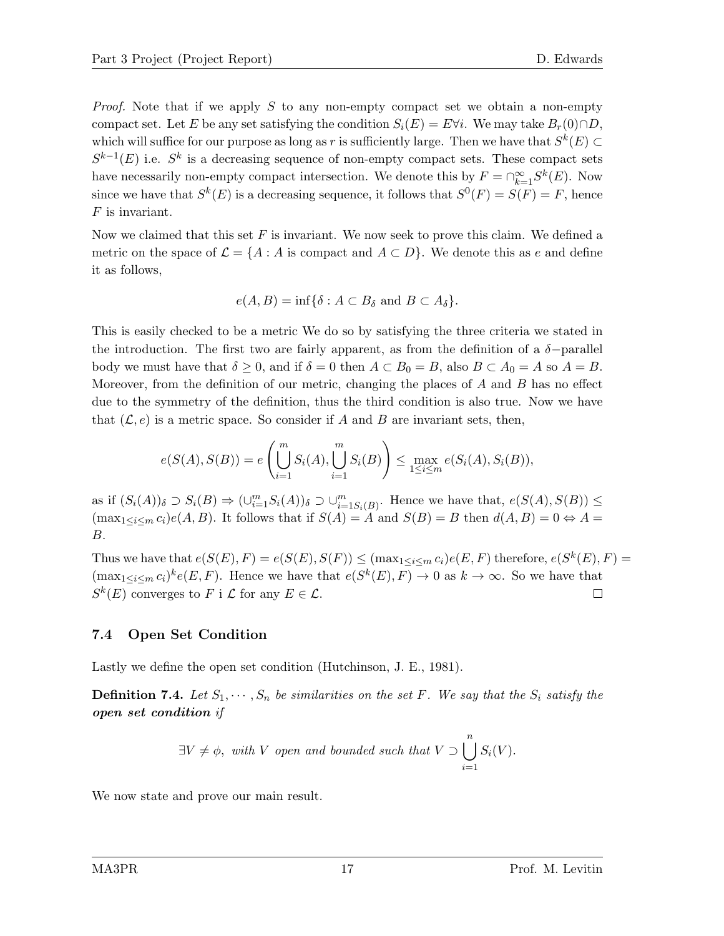*Proof.* Note that if we apply S to any non-empty compact set we obtain a non-empty compact set. Let E be any set satisfying the condition  $S_i(E) = E \forall i$ . We may take  $B_r(0) \cap D$ , which will suffice for our purpose as long as r is sufficiently large. Then we have that  $S^k(E) \subset$  $S^{k-1}(E)$  i.e.  $S^k$  is a decreasing sequence of non-empty compact sets. These compact sets have necessarily non-empty compact intersection. We denote this by  $F = \bigcap_{k=1}^{\infty} S^k(E)$ . Now since we have that  $S^k(E)$  is a decreasing sequence, it follows that  $S^0(F) = S(F) = F$ , hence F is invariant.

Now we claimed that this set  $F$  is invariant. We now seek to prove this claim. We defined a metric on the space of  $\mathcal{L} = \{A : A \text{ is compact and } A \subset D\}$ . We denote this as e and define it as follows,

$$
e(A, B) = \inf \{ \delta : A \subset B_{\delta} \text{ and } B \subset A_{\delta} \}.
$$

This is easily checked to be a metric We do so by satisfying the three criteria we stated in the introduction. The first two are fairly apparent, as from the definition of a  $\delta$ -parallel body we must have that  $\delta \geq 0$ , and if  $\delta = 0$  then  $A \subset B_0 = B$ , also  $B \subset A_0 = A$  so  $A = B$ . Moreover, from the definition of our metric, changing the places of  $A$  and  $B$  has no effect due to the symmetry of the definition, thus the third condition is also true. Now we have that  $(\mathcal{L}, e)$  is a metric space. So consider if A and B are invariant sets, then,

$$
e(S(A), S(B)) = e\left(\bigcup_{i=1}^{m} S_i(A), \bigcup_{i=1}^{m} S_i(B)\right) \le \max_{1 \le i \le m} e(S_i(A), S_i(B)),
$$

as if  $(S_i(A))_{\delta} \supset S_i(B) \Rightarrow (\cup_{i=1}^m S_i(A))_{\delta} \supset \cup_{i=1}^m S_i(B)$ . Hence we have that,  $e(S(A), S(B)) \le$  $(\max_{1 \leq i \leq m} c_i) e(A, B)$ . It follows that if  $S(A) = A$  and  $S(B) = B$  then  $d(A, B) = 0 \Leftrightarrow A =$ B.

Thus we have that  $e(S(E), F) = e(S(E), S(F)) \leq (\max_{1 \leq i \leq m} c_i) e(E, F)$  therefore,  $e(S^k(E), F) =$  $(\max_{1 \leq i \leq m} c_i)^k e(E, F)$ . Hence we have that  $e(S^k(E), F) \to 0$  as  $k \to \infty$ . So we have that  $S^k(E)$  converges to F i L for any  $E \in \mathcal{L}$ .  $\Box$ 

#### 7.4 Open Set Condition

Lastly we define the open set condition (Hutchinson, J. E., 1981).

**Definition 7.4.** Let  $S_1, \dots, S_n$  be similarities on the set F. We say that the  $S_i$  satisfy the open set condition if

$$
\exists V \neq \phi, \text{ with } V \text{ open and bounded such that } V \supset \bigcup_{i=1}^{n} S_i(V).
$$

We now state and prove our main result.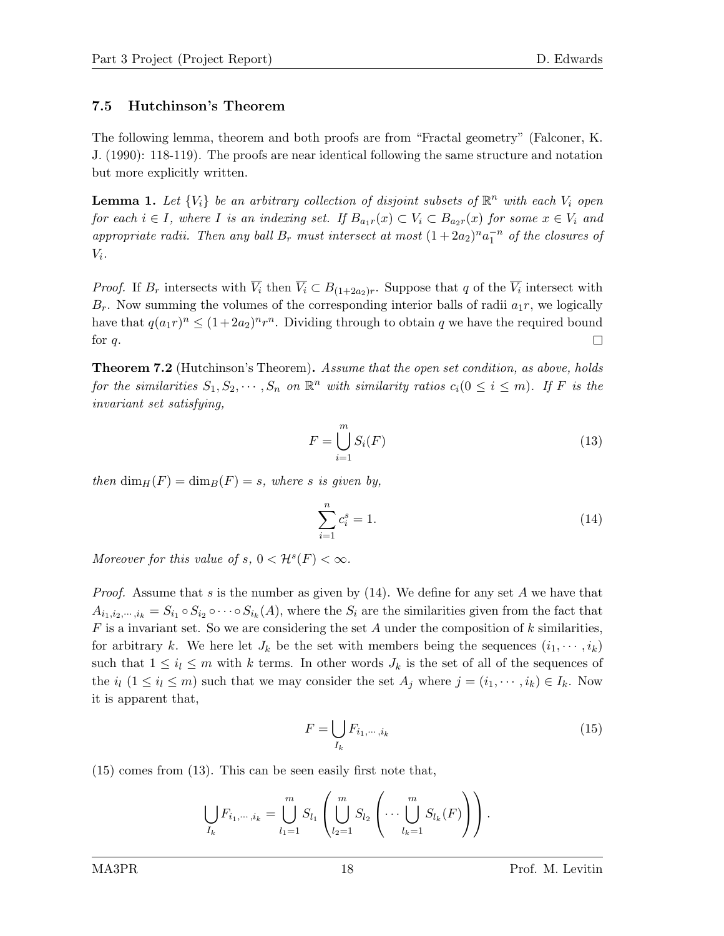#### 7.5 Hutchinson's Theorem

The following lemma, theorem and both proofs are from "Fractal geometry" (Falconer, K. J. (1990): 118-119). The proofs are near identical following the same structure and notation but more explicitly written.

**Lemma 1.** Let  $\{V_i\}$  be an arbitrary collection of disjoint subsets of  $\mathbb{R}^n$  with each  $V_i$  open for each  $i \in I$ , where I is an indexing set. If  $B_{a_1r}(x) \subset V_i \subset B_{a_2r}(x)$  for some  $x \in V_i$  and appropriate radii. Then any ball  $B_r$  must intersect at most  $(1+2a_2)^n a_1^{-n}$  of the closures of  $V_i$ .

*Proof.* If  $B_r$  intersects with  $\overline{V_i}$  then  $\overline{V_i} \subset B_{(1+2a_2)r}$ . Suppose that q of the  $\overline{V_i}$  intersect with  $B_r$ . Now summing the volumes of the corresponding interior balls of radii  $a_1r$ , we logically have that  $q(a_1r)^n \leq (1+2a_2)^n r^n$ . Dividing through to obtain q we have the required bound for  $q$ .  $\Box$ 

**Theorem 7.2** (Hutchinson's Theorem). Assume that the open set condition, as above, holds for the similarities  $S_1, S_2, \dots, S_n$  on  $\mathbb{R}^n$  with similarity ratios  $c_i(0 \leq i \leq m)$ . If F is the invariant set satisfying,

$$
F = \bigcup_{i=1}^{m} S_i(F) \tag{13}
$$

then  $\dim_H(F) = \dim_B(F) = s$ , where s is given by,

$$
\sum_{i=1}^{n} c_i^s = 1.
$$
\n(14)

Moreover for this value of  $s, 0 < H^s(F) < \infty$ .

*Proof.* Assume that s is the number as given by  $(14)$ . We define for any set A we have that  $A_{i_1,i_2,\dots,i_k} = S_{i_1} \circ S_{i_2} \circ \dots \circ S_{i_k}(A)$ , where the  $S_i$  are the similarities given from the fact that  $F$  is a invariant set. So we are considering the set  $A$  under the composition of  $k$  similarities, for arbitrary k. We here let  $J_k$  be the set with members being the sequences  $(i_1, \dots, i_k)$ such that  $1 \leq i_l \leq m$  with k terms. In other words  $J_k$  is the set of all of the sequences of the  $i_l$  ( $1 \le i_l \le m$ ) such that we may consider the set  $A_j$  where  $j = (i_1, \dots, i_k) \in I_k$ . Now it is apparent that,

$$
F = \bigcup_{I_k} F_{i_1, \cdots, i_k} \tag{15}
$$

(15) comes from (13). This can be seen easily first note that,

$$
\bigcup_{I_k} F_{i_1,\dots,i_k} = \bigcup_{l_1=1}^m S_{l_1} \left( \bigcup_{l_2=1}^m S_{l_2} \left( \dots \bigcup_{l_k=1}^m S_{l_k}(F) \right) \right).
$$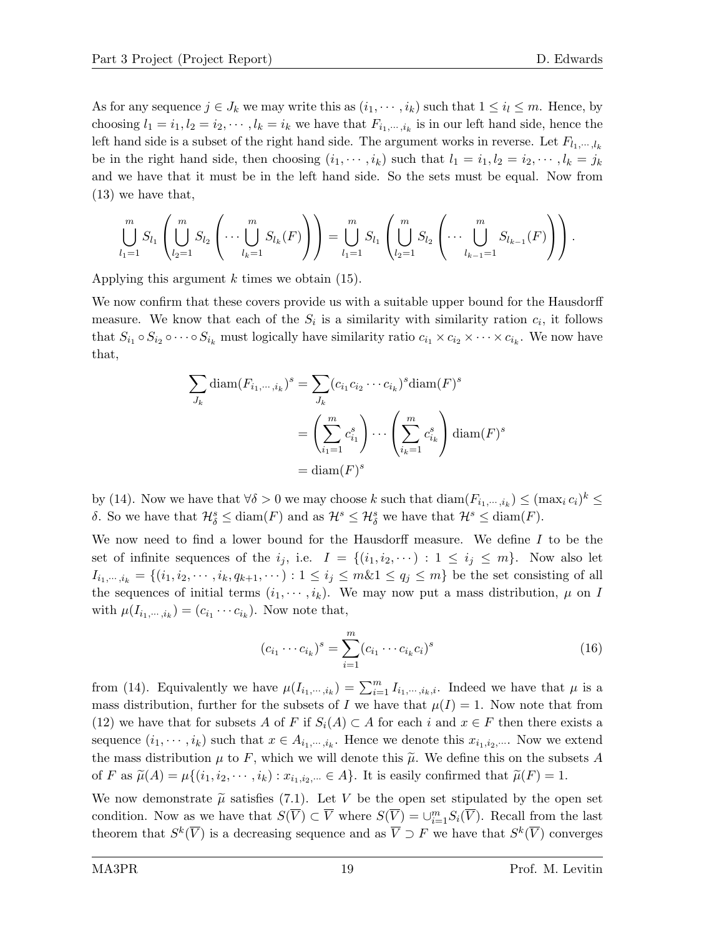As for any sequence  $j \in J_k$  we may write this as  $(i_1, \dots, i_k)$  such that  $1 \leq i_l \leq m$ . Hence, by choosing  $l_1 = i_1, l_2 = i_2, \dots, l_k = i_k$  we have that  $F_{i_1, \dots, i_k}$  is in our left hand side, hence the left hand side is a subset of the right hand side. The argument works in reverse. Let  $F_{l_1,\dots,l_k}$ be in the right hand side, then choosing  $(i_1, \dots, i_k)$  such that  $l_1 = i_1, l_2 = i_2, \dots, l_k = j_k$ and we have that it must be in the left hand side. So the sets must be equal. Now from (13) we have that,

$$
\bigcup_{l_1=1}^m S_{l_1} \left( \bigcup_{l_2=1}^m S_{l_2} \left( \cdots \bigcup_{l_k=1}^m S_{l_k}(F) \right) \right) = \bigcup_{l_1=1}^m S_{l_1} \left( \bigcup_{l_2=1}^m S_{l_2} \left( \cdots \bigcup_{l_{k-1}=1}^m S_{l_{k-1}}(F) \right) \right).
$$

Applying this argument  $k$  times we obtain (15).

We now confirm that these covers provide us with a suitable upper bound for the Hausdorff measure. We know that each of the  $S_i$  is a similarity with similarity ration  $c_i$ , it follows that  $S_{i_1} \circ S_{i_2} \circ \cdots \circ S_{i_k}$  must logically have similarity ratio  $c_{i_1} \times c_{i_2} \times \cdots \times c_{i_k}$ . We now have that,

$$
\sum_{J_k} \text{diam}(F_{i_1,\dots,i_k})^s = \sum_{J_k} (c_{i_1}c_{i_2}\cdots c_{i_k})^s \text{diam}(F)^s
$$

$$
= \left(\sum_{i_1=1}^m c_{i_1}^s\right) \cdots \left(\sum_{i_k=1}^m c_{i_k}^s\right) \text{diam}(F)^s
$$

$$
= \text{diam}(F)^s
$$

by (14). Now we have that  $\forall \delta > 0$  we may choose k such that  $\text{diam}(F_{i_1,\dots,i_k}) \leq (\max_i c_i)^k \leq$ δ. So we have that  $\mathcal{H}_{\delta}^{s} \leq \text{diam}(F)$  and as  $\mathcal{H}^{s} \leq \mathcal{H}_{\delta}^{s}$  we have that  $\mathcal{H}^{s} \leq \text{diam}(F)$ .

We now need to find a lower bound for the Hausdorff measure. We define  $I$  to be the set of infinite sequences of the  $i_j$ , i.e.  $I = \{(i_1, i_2, \dots) : 1 \le i_j \le m\}$ . Now also let  $I_{i_1,\dots,i_k} = \{(i_1,i_2,\dots,i_k,q_{k+1},\dots): 1 \leq i_j \leq m \& 1 \leq q_j \leq m\}$  be the set consisting of all the sequences of initial terms  $(i_1, \dots, i_k)$ . We may now put a mass distribution,  $\mu$  on I with  $\mu(I_{i_1,\dots,i_k}) = (c_{i_1} \cdots c_{i_k})$ . Now note that,

$$
(c_{i_1} \cdots c_{i_k})^s = \sum_{i=1}^m (c_{i_1} \cdots c_{i_k} c_i)^s
$$
 (16)

from (14). Equivalently we have  $\mu(I_{i_1,\dots,i_k}) = \sum_{i=1}^m I_{i_1,\dots,i_k,i}$ . Indeed we have that  $\mu$  is a mass distribution, further for the subsets of I we have that  $\mu(I) = 1$ . Now note that from (12) we have that for subsets A of F if  $S_i(A) \subset A$  for each i and  $x \in F$  then there exists a sequence  $(i_1, \dots, i_k)$  such that  $x \in A_{i_1, \dots, i_k}$ . Hence we denote this  $x_{i_1, i_2, \dots}$ . Now we extend the mass distribution  $\mu$  to F, which we will denote this  $\tilde{\mu}$ . We define this on the subsets A of F as  $\widetilde{\mu}(A) = \mu\{(i_1, i_2, \dots, i_k) : x_{i_1, i_2, \dots} \in A\}$ . It is easily confirmed that  $\widetilde{\mu}(F) = 1$ .

We now demonstrate  $\tilde{\mu}$  satisfies (7.1). Let V be the open set stipulated by the open set condition. Now as we have that  $S(\overline{V}) \subset \overline{V}$  where  $S(\overline{V}) = \cup_{i=1}^m S_i(\overline{V})$ . Recall from the last theorem that  $S^k(\overline{V})$  is a decreasing sequence and as  $\overline{V} \supset F$  we have that  $S^k(\overline{V})$  converges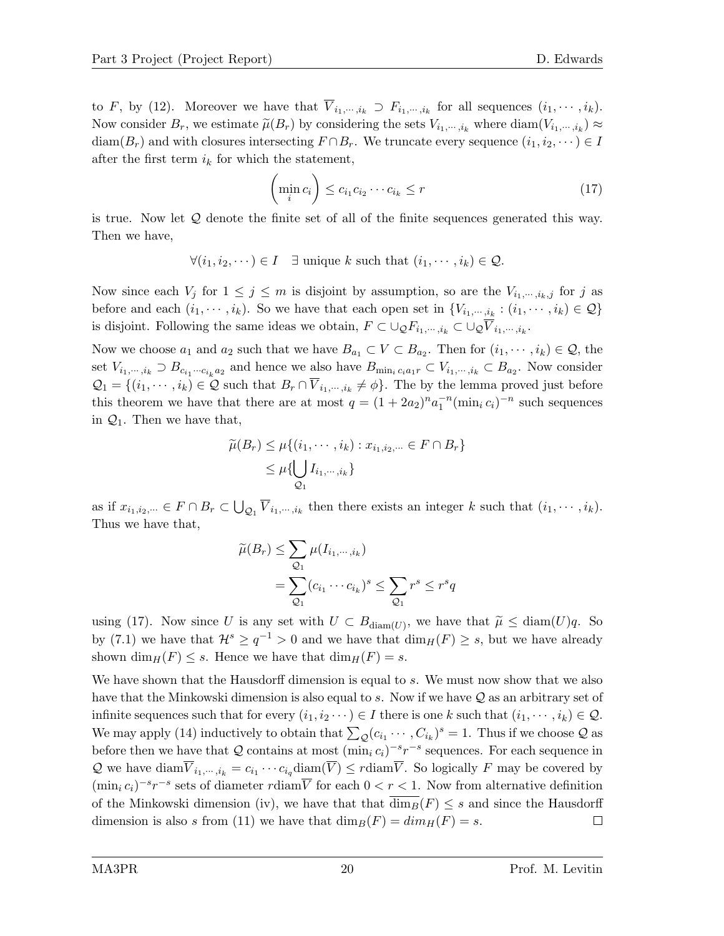to F, by (12). Moreover we have that  $V_{i_1,\dots,i_k} \supset F_{i_1,\dots,i_k}$  for all sequences  $(i_1,\dots,i_k)$ . Now consider  $B_r$ , we estimate  $\widetilde{\mu}(B_r)$  by considering the sets  $V_{i_1,\dots,i_k}$  where  $\text{diam}(V_{i_1,\dots,i_k}) \approx$ diam( $B_r$ ) and with closures intersecting  $F \cap B_r$ . We truncate every sequence  $(i_1, i_2, \dots) \in I$ after the first term  $i_k$  for which the statement,

$$
\left(\min_{i} c_i\right) \leq c_{i_1} c_{i_2} \cdots c_{i_k} \leq r \tag{17}
$$

is true. Now let Q denote the finite set of all of the finite sequences generated this way. Then we have,

$$
\forall (i_1, i_2, \dots) \in I \quad \exists \text{ unique } k \text{ such that } (i_1, \dots, i_k) \in \mathcal{Q}.
$$

Now since each  $V_j$  for  $1 \leq j \leq m$  is disjoint by assumption, so are the  $V_{i_1,\dots,i_k,j}$  for j as before and each  $(i_1, \dots, i_k)$ . So we have that each open set in  $\{V_{i_1, \dots, i_k} : (i_1, \dots, i_k) \in \mathcal{Q}\}\$ is disjoint. Following the same ideas we obtain,  $F \subset \cup_{\mathcal{Q}} F_{i_1,\dots,i_k} \subset \cup_{\mathcal{Q}} \overline{V}_{i_1,\dots,i_k}$ .

Now we choose  $a_1$  and  $a_2$  such that we have  $B_{a_1} \subset V \subset B_{a_2}$ . Then for  $(i_1, \dots, i_k) \in \mathcal{Q}$ , the set  $V_{i_1,\dots,i_k} \supset B_{c_{i_1}\dots c_{i_k}a_2}$  and hence we also have  $B_{\min_i c_i a_1 r} \subset V_{i_1,\dots,i_k} \subset B_{a_2}$ . Now consider  $\mathcal{Q}_1 = \{(i_1, \dots, i_k) \in \mathcal{Q} \text{ such that } B_r \cap \overline{V}_{i_1, \dots, i_k} \neq \emptyset\}$ . The by the lemma proved just before this theorem we have that there are at most  $q = (1 + 2a_2)^n a_1^{-n} (\min_i c_i)^{-n}$  such sequences in  $\mathcal{Q}_1$ . Then we have that,

$$
\widetilde{\mu}(B_r) \leq \mu\{(i_1, \cdots, i_k) : x_{i_1, i_2, \cdots} \in F \cap B_r\}
$$
\n
$$
\leq \mu\{\bigcup_{\mathcal{Q}_1} I_{i_1, \cdots, i_k}\}
$$

as if  $x_{i_1,i_2,\dots} \in F \cap B_r \subset \bigcup_{\mathcal{Q}_1} \overline{V}_{i_1,\dots,i_k}$  then there exists an integer k such that  $(i_1,\dots,i_k)$ . Thus we have that,

$$
\widetilde{\mu}(B_r) \leq \sum_{\mathcal{Q}_1} \mu(I_{i_1,\dots,i_k})
$$

$$
= \sum_{\mathcal{Q}_1} (c_{i_1} \cdots c_{i_k})^s \leq \sum_{\mathcal{Q}_1} r^s \leq r^s q
$$

using (17). Now since U is any set with  $U \subset B_{\text{diam}(U)}$ , we have that  $\widetilde{\mu} \leq \text{diam}(U)q$ . So by (7.1) we have that  $\mathcal{H}^s \ge q^{-1} > 0$  and we have that  $\dim_H(F) \ge s$ , but we have already shown  $\dim_H(F) \leq s$ . Hence we have that  $\dim_H(F) = s$ .

We have shown that the Hausdorff dimension is equal to s. We must now show that we also have that the Minkowski dimension is also equal to s. Now if we have  $\mathcal Q$  as an arbitrary set of infinite sequences such that for every  $(i_1, i_2 \cdots) \in I$  there is one k such that  $(i_1, \cdots, i_k) \in \mathcal{Q}$ . We may apply (14) inductively to obtain that  $\sum_{\mathcal{Q}} (c_{i_1} \cdots, C_{i_k})^s = 1$ . Thus if we choose  $\mathcal{Q}$  as before then we have that Q contains at most  $(\min_i c_i)^{-s}r^{-s}$  sequences. For each sequence in Q we have  $\text{diam}_{i_1,\dots,i_k} = c_{i_1}\cdots c_{i_q} \text{diam}(V) \leq r \text{diam}_{V}$ . So logically F may be covered by  $(\min_i c_i)^{-s} r^{-s}$  sets of diameter rdiam $\overline{V}$  for each  $0 < r < 1$ . Now from alternative definition of the Minkowski dimension (iv), we have that that  $\dim_B(F) \leq s$  and since the Hausdorff dimension is also s from (11) we have that  $\dim_B(F) = \dim_H(F) = s$ .  $\Box$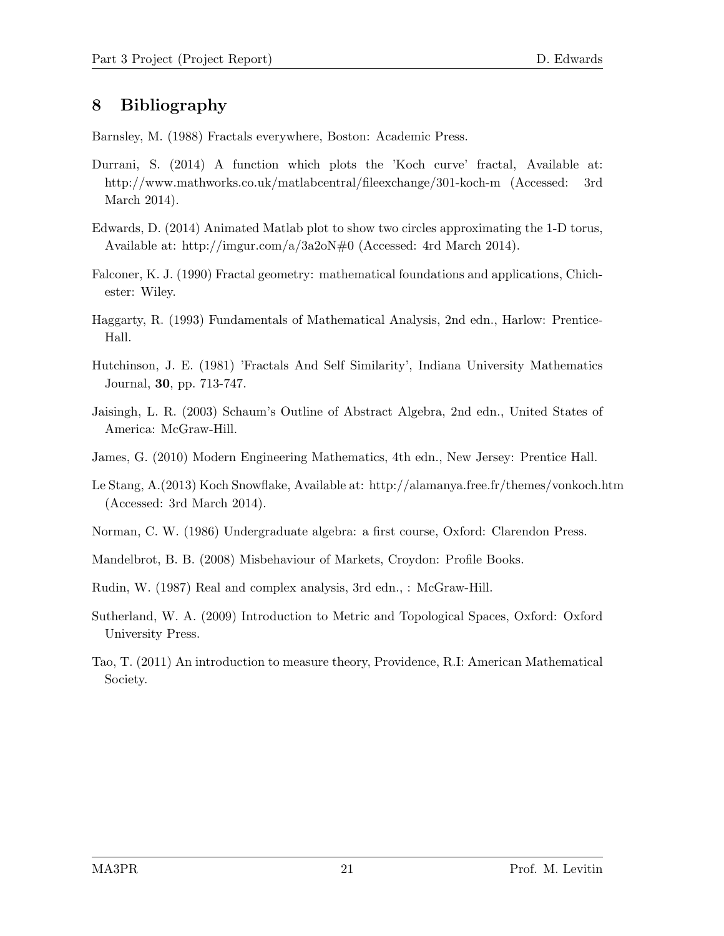## 8 Bibliography

Barnsley, M. (1988) Fractals everywhere, Boston: Academic Press.

- Durrani, S. (2014) A function which plots the 'Koch curve' fractal, Available at: http://www.mathworks.co.uk/matlabcentral/fileexchange/301-koch-m (Accessed: 3rd March 2014).
- Edwards, D. (2014) Animated Matlab plot to show two circles approximating the 1-D torus, Available at: http://imgur.com/a/3a2oN#0 (Accessed: 4rd March 2014).
- Falconer, K. J. (1990) Fractal geometry: mathematical foundations and applications, Chichester: Wiley.
- Haggarty, R. (1993) Fundamentals of Mathematical Analysis, 2nd edn., Harlow: Prentice-Hall.
- Hutchinson, J. E. (1981) 'Fractals And Self Similarity', Indiana University Mathematics Journal, 30, pp. 713-747.
- Jaisingh, L. R. (2003) Schaum's Outline of Abstract Algebra, 2nd edn., United States of America: McGraw-Hill.
- James, G. (2010) Modern Engineering Mathematics, 4th edn., New Jersey: Prentice Hall.
- Le Stang, A.(2013) Koch Snowflake, Available at: http://alamanya.free.fr/themes/vonkoch.htm (Accessed: 3rd March 2014).
- Norman, C. W. (1986) Undergraduate algebra: a first course, Oxford: Clarendon Press.
- Mandelbrot, B. B. (2008) Misbehaviour of Markets, Croydon: Profile Books.
- Rudin, W. (1987) Real and complex analysis, 3rd edn., : McGraw-Hill.
- Sutherland, W. A. (2009) Introduction to Metric and Topological Spaces, Oxford: Oxford University Press.
- Tao, T. (2011) An introduction to measure theory, Providence, R.I: American Mathematical Society.